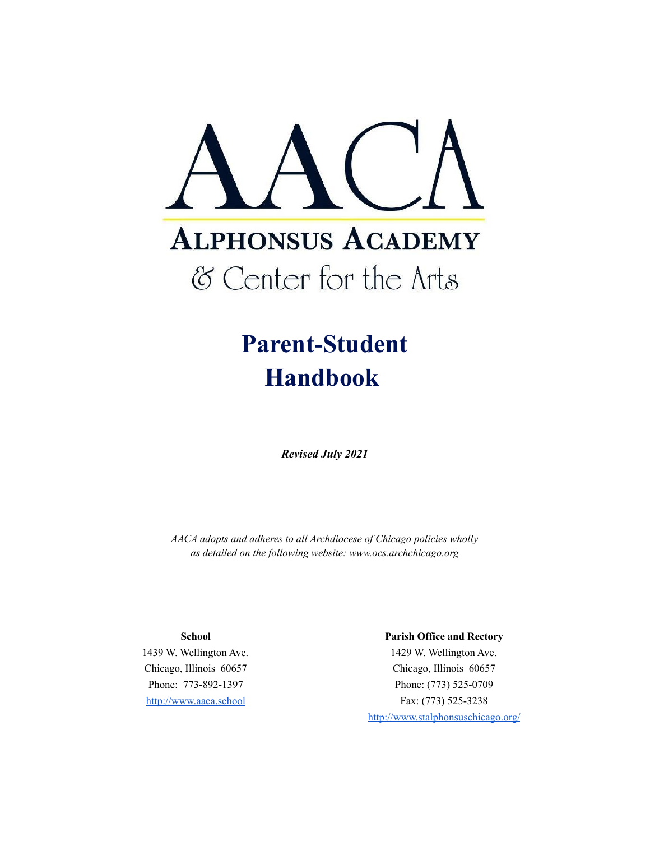

# **Parent-Student Handbook**

*Revised July 2021*

*AACA adopts and adheres to all Archdiocese of Chicago policies wholly as detailed on the following website: www.ocs.archchicago.org*

## **School**

1439 W. Wellington Ave. Chicago, Illinois 60657 Phone: 773-892-1397 <http://www.aaca.school>

#### **Parish Office and Rectory**

1429 W. Wellington Ave. Chicago, Illinois 60657 Phone: (773) 525-0709 Fax: (773) 525-3238 <http://www.stalphonsuschicago.org/>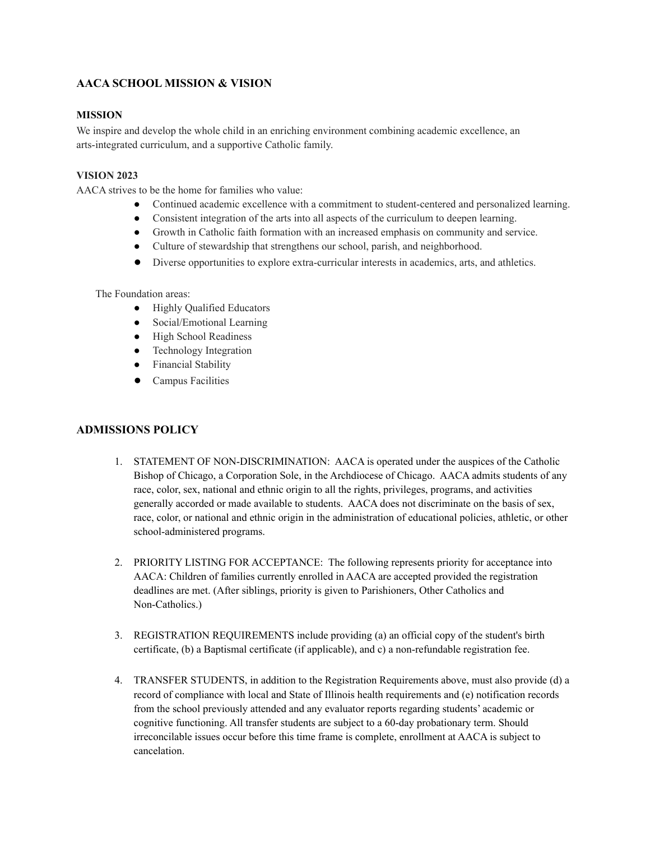# **AACA SCHOOL MISSION & VISION**

## **MISSION**

We inspire and develop the whole child in an enriching environment combining academic excellence, an arts-integrated curriculum, and a supportive Catholic family.

## **VISION 2023**

AACA strives to be the home for families who value:

- Continued academic excellence with a commitment to student-centered and personalized learning.
- Consistent integration of the arts into all aspects of the curriculum to deepen learning.
- Growth in Catholic faith formation with an increased emphasis on community and service.
- Culture of stewardship that strengthens our school, parish, and neighborhood.
- Diverse opportunities to explore extra-curricular interests in academics, arts, and athletics.

The Foundation areas:

- Highly Qualified Educators
- Social/Emotional Learning
- High School Readiness
- Technology Integration
- Financial Stability
- Campus Facilities

## **ADMISSIONS POLICY**

- 1. STATEMENT OF NON-DISCRIMINATION: AACA is operated under the auspices of the Catholic Bishop of Chicago, a Corporation Sole, in the Archdiocese of Chicago. AACA admits students of any race, color, sex, national and ethnic origin to all the rights, privileges, programs, and activities generally accorded or made available to students. AACA does not discriminate on the basis of sex, race, color, or national and ethnic origin in the administration of educational policies, athletic, or other school-administered programs.
- 2. PRIORITY LISTING FOR ACCEPTANCE: The following represents priority for acceptance into AACA: Children of families currently enrolled in AACA are accepted provided the registration deadlines are met. (After siblings, priority is given to Parishioners, Other Catholics and Non-Catholics.)
- 3. REGISTRATION REQUIREMENTS include providing (a) an official copy of the student's birth certificate, (b) a Baptismal certificate (if applicable), and c) a non-refundable registration fee.
- 4. TRANSFER STUDENTS, in addition to the Registration Requirements above, must also provide (d) a record of compliance with local and State of Illinois health requirements and (e) notification records from the school previously attended and any evaluator reports regarding students' academic or cognitive functioning. All transfer students are subject to a 60-day probationary term. Should irreconcilable issues occur before this time frame is complete, enrollment at AACA is subject to cancelation.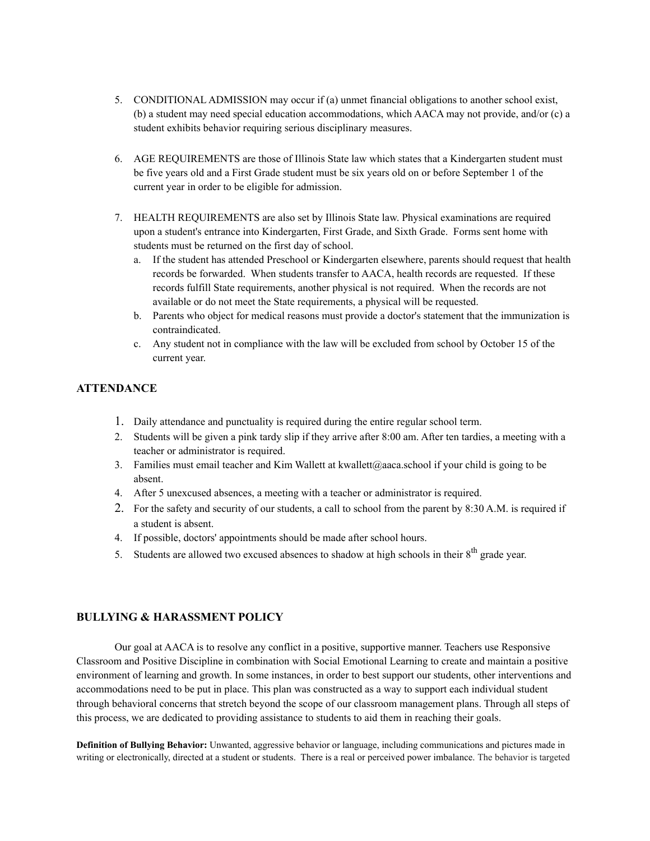- 5. CONDITIONAL ADMISSION may occur if (a) unmet financial obligations to another school exist, (b) a student may need special education accommodations, which AACA may not provide, and/or (c) a student exhibits behavior requiring serious disciplinary measures.
- 6. AGE REQUIREMENTS are those of Illinois State law which states that a Kindergarten student must be five years old and a First Grade student must be six years old on or before September 1 of the current year in order to be eligible for admission.
- 7. HEALTH REQUIREMENTS are also set by Illinois State law. Physical examinations are required upon a student's entrance into Kindergarten, First Grade, and Sixth Grade. Forms sent home with students must be returned on the first day of school.
	- a. If the student has attended Preschool or Kindergarten elsewhere, parents should request that health records be forwarded. When students transfer to AACA, health records are requested. If these records fulfill State requirements, another physical is not required. When the records are not available or do not meet the State requirements, a physical will be requested.
	- b. Parents who object for medical reasons must provide a doctor's statement that the immunization is contraindicated.
	- c. Any student not in compliance with the law will be excluded from school by October 15 of the current year.

## **ATTENDANCE**

- 1. Daily attendance and punctuality is required during the entire regular school term.
- 2. Students will be given a pink tardy slip if they arrive after 8:00 am. After ten tardies, a meeting with a teacher or administrator is required.
- 3. Families must email teacher and Kim Wallett at kwallett@aaca.school if your child is going to be absent.
- 4. After 5 unexcused absences, a meeting with a teacher or administrator is required.
- 2. For the safety and security of our students, a call to school from the parent by 8:30 A.M. is required if a student is absent.
- 4. If possible, doctors' appointments should be made after school hours.
- 5. Students are allowed two excused absences to shadow at high schools in their  $8<sup>th</sup>$  grade year.

#### **BULLYING & HARASSMENT POLICY**

Our goal at AACA is to resolve any conflict in a positive, supportive manner. Teachers use Responsive Classroom and Positive Discipline in combination with Social Emotional Learning to create and maintain a positive environment of learning and growth. In some instances, in order to best support our students, other interventions and accommodations need to be put in place. This plan was constructed as a way to support each individual student through behavioral concerns that stretch beyond the scope of our classroom management plans. Through all steps of this process, we are dedicated to providing assistance to students to aid them in reaching their goals.

**Definition of Bullying Behavior:** Unwanted, aggressive behavior or language, including communications and pictures made in writing or electronically, directed at a student or students. There is a real or perceived power imbalance. The behavior is targeted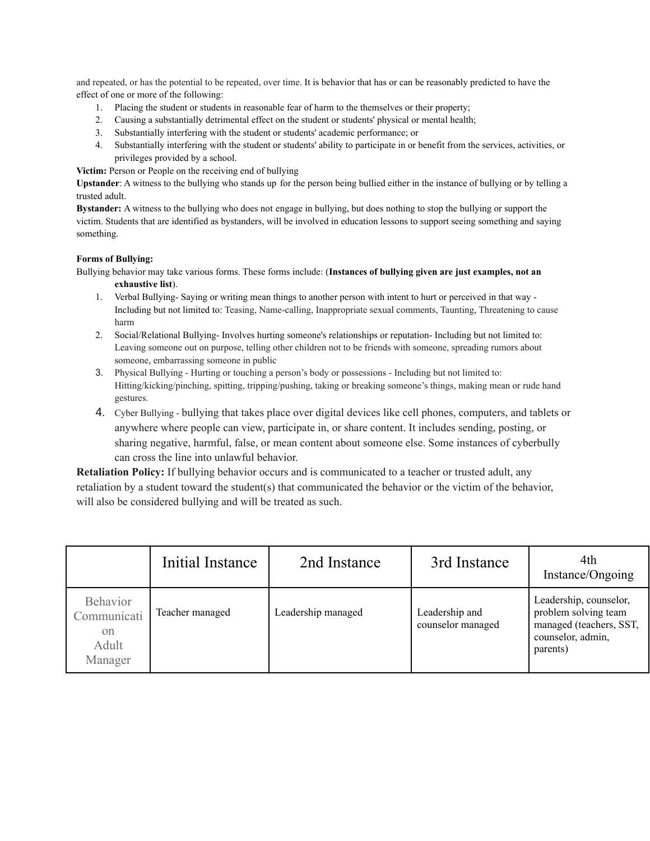and repeated, or has the potential to be repeated, over time. It is behavior that has or can be reasonably predicted to have the effect of one or more of the following:

- 1. Placing the student or students in reasonable fear of harm to the themselves or their property;
- 2. Causing a substantially detrimental effect on the student or students' physical or mental health;
- 3. Substantially interfering with the student or students' academic performance; or
- 4. Substantially interfering with the student or students' ability to participate in or benefit from the services, activities, or privileges provided by a school.

**Victim:** Person or People on the receiving end of bullying

**Upstander**: A witness to the bullying who stands up for the person being bullied either in the instance of bullying or by telling a trusted adult.

**Bystander:** A witness to the bullying who does not engage in bullying, but does nothing to stop the bullying or support the victim. Students that are identified as bystanders, will be involved in education lessons to support seeing something and saying something.

#### **Forms of Bullying:**

Bullying behavior may take various forms. These forms include: (**Instances of bullying given are just examples, not an exhaustive list**).

- 1. Verbal Bullying- Saying or writing mean things to another person with intent to hurt or perceived in that way Including but not limited to: Teasing, Name-calling, Inappropriate sexual comments, Taunting, Threatening to cause harm
- 2. Social/Relational Bullying- Involves hurting someone's relationships or reputation- Including but not limited to: Leaving someone out on purpose, telling other children not to be friends with someone, spreading rumors about someone, embarrassing someone in public
- 3. Physical Bullying Hurting or touching a person's body or possessions Including but not limited to: Hitting/kicking/pinching, spitting, tripping/pushing, taking or breaking someone's things, making mean or rude hand gestures.
- 4. Cyber Bullying bullying that takes place over digital devices like cell phones, computers, and tablets or anywhere where people can view, participate in, or share content. It includes sending, posting, or sharing negative, harmful, false, or mean content about someone else. Some instances of cyberbully can cross the line into unlawful behavior.

**Retaliation Policy:** If bullying behavior occurs and is communicated to a teacher or trusted adult, any retaliation by a student toward the student(s) that communicated the behavior or the victim of the behavior, will also be considered bullying and will be treated as such.

|                                                                     | Initial Instance | 2nd Instance       | 3rd Instance                        | 4th<br>Instance/Ongoing                                                                                    |
|---------------------------------------------------------------------|------------------|--------------------|-------------------------------------|------------------------------------------------------------------------------------------------------------|
| <b>Behavior</b><br>Communicati<br><sub>on</sub><br>Adult<br>Manager | Teacher managed  | Leadership managed | Leadership and<br>counselor managed | Leadership, counselor,<br>problem solving team<br>managed (teachers, SST,<br>counselor, admin,<br>parents) |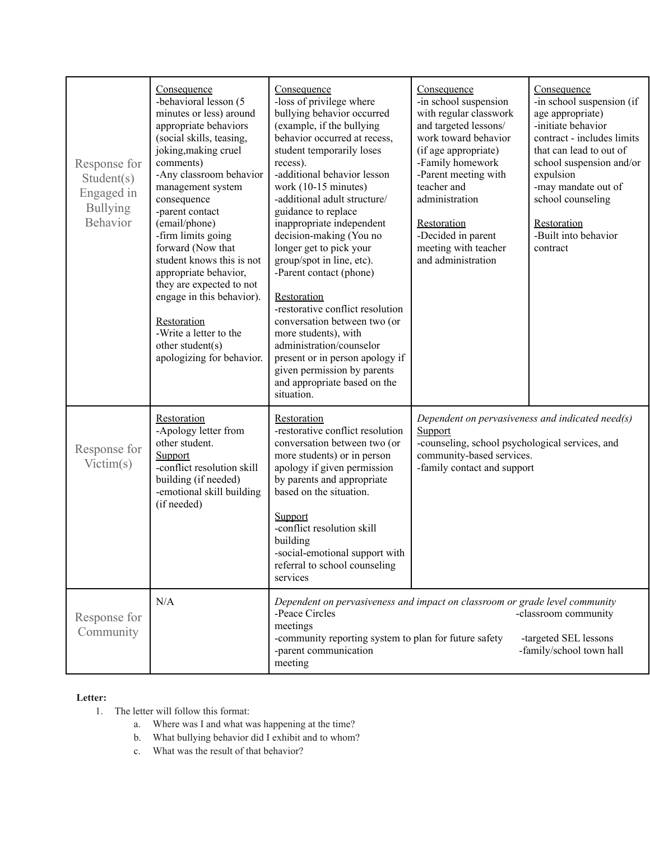| Response for<br>Student(s)<br>Engaged in<br><b>Bullying</b><br><b>Behavior</b> | Consequence<br>-behavioral lesson (5<br>minutes or less) around<br>appropriate behaviors<br>(social skills, teasing,<br>joking, making cruel<br>comments)<br>-Any classroom behavior<br>management system<br>consequence<br>-parent contact<br>(email/phone)<br>-firm limits going<br>forward (Now that<br>student knows this is not<br>appropriate behavior,<br>they are expected to not<br>engage in this behavior).<br>Restoration<br>-Write a letter to the<br>other student(s)<br>apologizing for behavior. | Consequence<br>-loss of privilege where<br>bullying behavior occurred<br>(example, if the bullying<br>behavior occurred at recess,<br>student temporarily loses<br>recess).<br>-additional behavior lesson<br>work (10-15 minutes)<br>-additional adult structure/<br>guidance to replace<br>inappropriate independent<br>decision-making (You no<br>longer get to pick your<br>group/spot in line, etc).<br>-Parent contact (phone)<br>Restoration<br>-restorative conflict resolution<br>conversation between two (or<br>more students), with<br>administration/counselor<br>present or in person apology if<br>given permission by parents<br>and appropriate based on the<br>situation. | Consequence<br>-in school suspension<br>with regular classwork<br>and targeted lessons/<br>work toward behavior<br>(if age appropriate)<br>-Family homework<br>-Parent meeting with<br>teacher and<br>administration<br>Restoration<br>-Decided in parent<br>meeting with teacher<br>and administration | Consequence<br>-in school suspension (if<br>age appropriate)<br>-initiate behavior<br>contract - includes limits<br>that can lead to out of<br>school suspension and/or<br>expulsion<br>-may mandate out of<br>school counseling<br>Restoration<br>-Built into behavior<br>contract |
|--------------------------------------------------------------------------------|------------------------------------------------------------------------------------------------------------------------------------------------------------------------------------------------------------------------------------------------------------------------------------------------------------------------------------------------------------------------------------------------------------------------------------------------------------------------------------------------------------------|---------------------------------------------------------------------------------------------------------------------------------------------------------------------------------------------------------------------------------------------------------------------------------------------------------------------------------------------------------------------------------------------------------------------------------------------------------------------------------------------------------------------------------------------------------------------------------------------------------------------------------------------------------------------------------------------|---------------------------------------------------------------------------------------------------------------------------------------------------------------------------------------------------------------------------------------------------------------------------------------------------------|-------------------------------------------------------------------------------------------------------------------------------------------------------------------------------------------------------------------------------------------------------------------------------------|
| Response for<br>Victim(s)                                                      | Restoration<br>-Apology letter from<br>other student.<br>Support<br>-conflict resolution skill<br>building (if needed)<br>-emotional skill building<br>(if needed)                                                                                                                                                                                                                                                                                                                                               | Restoration<br>-restorative conflict resolution<br>conversation between two (or<br>more students) or in person<br>apology if given permission<br>by parents and appropriate<br>based on the situation.<br>Support<br>-conflict resolution skill<br>building<br>-social-emotional support with<br>referral to school counseling<br>services                                                                                                                                                                                                                                                                                                                                                  | Dependent on pervasiveness and indicated need(s)<br>Support<br>-counseling, school psychological services, and<br>community-based services.<br>-family contact and support                                                                                                                              |                                                                                                                                                                                                                                                                                     |
| Response for<br>Community                                                      | N/A                                                                                                                                                                                                                                                                                                                                                                                                                                                                                                              | Dependent on pervasiveness and impact on classroom or grade level community<br>-Peace Circles<br>meetings<br>-community reporting system to plan for future safety<br>-parent communication<br>meeting                                                                                                                                                                                                                                                                                                                                                                                                                                                                                      |                                                                                                                                                                                                                                                                                                         | -classroom community<br>-targeted SEL lessons<br>-family/school town hall                                                                                                                                                                                                           |

## **Letter:**

- 1. The letter will follow this format:
	- a. Where was I and what was happening at the time?
	- b. What bullying behavior did I exhibit and to whom?
	- c. What was the result of that behavior?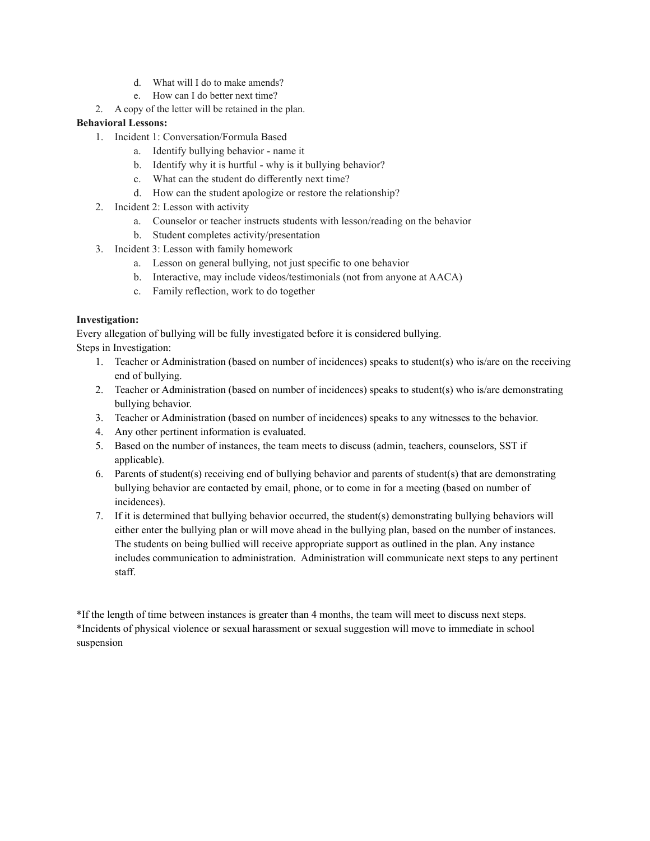- d. What will I do to make amends?
- e. How can I do better next time?
- 2. A copy of the letter will be retained in the plan.

## **Behavioral Lessons:**

- 1. Incident 1: Conversation/Formula Based
	- a. Identify bullying behavior name it
	- b. Identify why it is hurtful why is it bullying behavior?
	- c. What can the student do differently next time?
	- d. How can the student apologize or restore the relationship?
- 2. Incident 2: Lesson with activity
	- a. Counselor or teacher instructs students with lesson/reading on the behavior
	- b. Student completes activity/presentation
- 3. Incident 3: Lesson with family homework
	- a. Lesson on general bullying, not just specific to one behavior
	- b. Interactive, may include videos/testimonials (not from anyone at AACA)
	- c. Family reflection, work to do together

#### **Investigation:**

Every allegation of bullying will be fully investigated before it is considered bullying. Steps in Investigation:

- 1. Teacher or Administration (based on number of incidences) speaks to student(s) who is/are on the receiving end of bullying.
- 2. Teacher or Administration (based on number of incidences) speaks to student(s) who is/are demonstrating bullying behavior.
- 3. Teacher or Administration (based on number of incidences) speaks to any witnesses to the behavior.
- 4. Any other pertinent information is evaluated.
- 5. Based on the number of instances, the team meets to discuss (admin, teachers, counselors, SST if applicable).
- 6. Parents of student(s) receiving end of bullying behavior and parents of student(s) that are demonstrating bullying behavior are contacted by email, phone, or to come in for a meeting (based on number of incidences).
- 7. If it is determined that bullying behavior occurred, the student(s) demonstrating bullying behaviors will either enter the bullying plan or will move ahead in the bullying plan, based on the number of instances. The students on being bullied will receive appropriate support as outlined in the plan. Any instance includes communication to administration. Administration will communicate next steps to any pertinent staff.

\*If the length of time between instances is greater than 4 months, the team will meet to discuss next steps. \*Incidents of physical violence or sexual harassment or sexual suggestion will move to immediate in school suspension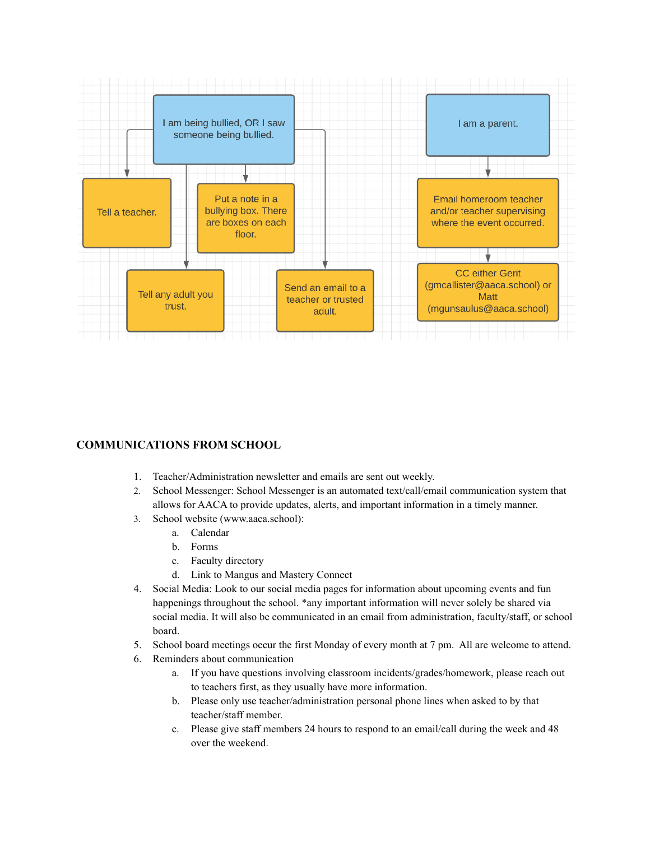

## **COMMUNICATIONS FROM SCHOOL**

- 1. Teacher/Administration newsletter and emails are sent out weekly.
- 2. School Messenger: School Messenger is an automated text/call/email communication system that allows for AACA to provide updates, alerts, and important information in a timely manner.
- 3. School website (www.aaca.school):
	- a. Calendar
	- b. Forms
	- c. Faculty directory
	- d. Link to Mangus and Mastery Connect
- 4. Social Media: Look to our social media pages for information about upcoming events and fun happenings throughout the school. \*any important information will never solely be shared via social media. It will also be communicated in an email from administration, faculty/staff, or school board.
- 5. School board meetings occur the first Monday of every month at 7 pm. All are welcome to attend.
- 6. Reminders about communication
	- a. If you have questions involving classroom incidents/grades/homework, please reach out to teachers first, as they usually have more information.
	- b. Please only use teacher/administration personal phone lines when asked to by that teacher/staff member.
	- c. Please give staff members 24 hours to respond to an email/call during the week and 48 over the weekend.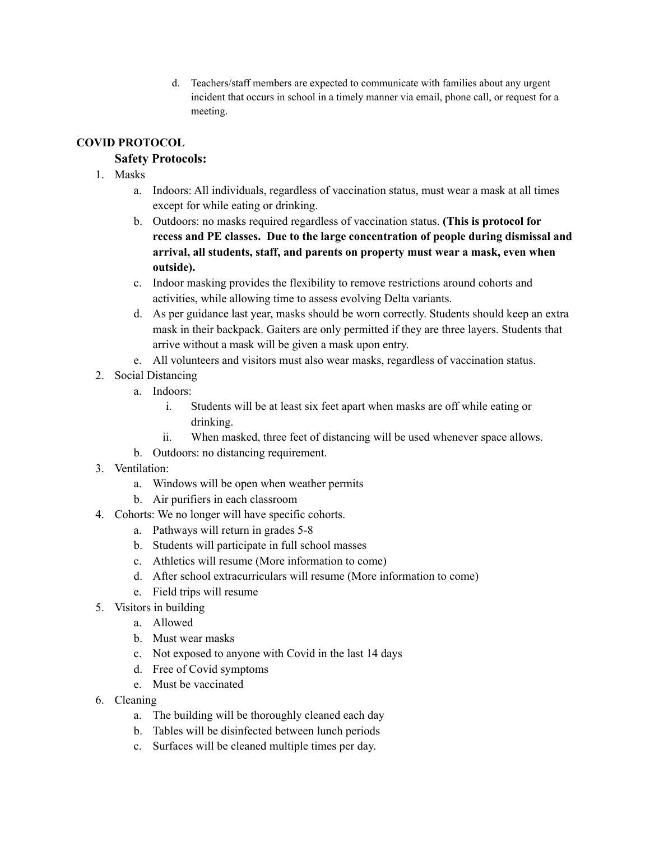d. Teachers/staff members are expected to communicate with families about any urgent incident that occurs in school in a timely manner via email, phone call, or request for a meeting.

# **COVID PROTOCOL**

# **Safety Protocols:**

- 1. Masks
	- a. Indoors: All individuals, regardless of vaccination status, must wear a mask at all times except for while eating or drinking.
	- b. Outdoors: no masks required regardless of vaccination status. **(This is protocol for recess and PE classes. Due to the large concentration of people during dismissal and arrival, all students, staff, and parents on property must wear a mask, even when outside).**
	- c. Indoor masking provides the flexibility to remove restrictions around cohorts and activities, while allowing time to assess evolving Delta variants.
	- d. As per guidance last year, masks should be worn correctly. Students should keep an extra mask in their backpack. Gaiters are only permitted if they are three layers. Students that arrive without a mask will be given a mask upon entry.
	- e. All volunteers and visitors must also wear masks, regardless of vaccination status.
- 2. Social Distancing
	- a. Indoors:
		- i. Students will be at least six feet apart when masks are off while eating or drinking.
		- ii. When masked, three feet of distancing will be used whenever space allows.
	- b. Outdoors: no distancing requirement.
- 3. Ventilation:
	- a. Windows will be open when weather permits
	- b. Air purifiers in each classroom
- 4. Cohorts: We no longer will have specific cohorts.
	- a. Pathways will return in grades 5-8
	- b. Students will participate in full school masses
	- c. Athletics will resume (More information to come)
	- d. After school extracurriculars will resume (More information to come)
	- e. Field trips will resume
- 5. Visitors in building
	- a. Allowed
	- b. Must wear masks
	- c. Not exposed to anyone with Covid in the last 14 days
	- d. Free of Covid symptoms
	- e. Must be vaccinated
- 6. Cleaning
	- a. The building will be thoroughly cleaned each day
	- b. Tables will be disinfected between lunch periods
	- c. Surfaces will be cleaned multiple times per day.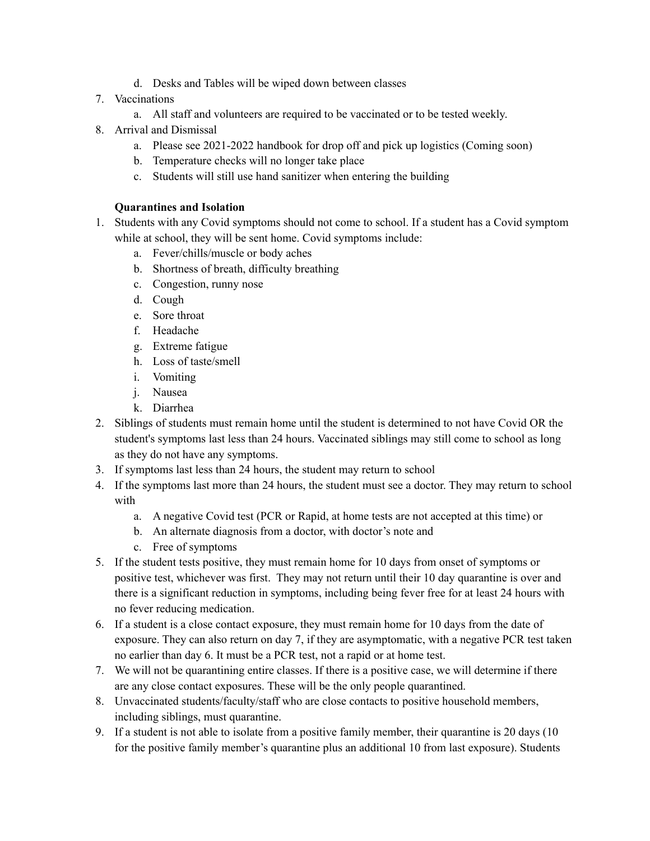- d. Desks and Tables will be wiped down between classes
- 7. Vaccinations
	- a. All staff and volunteers are required to be vaccinated or to be tested weekly.
- 8. Arrival and Dismissal
	- a. Please see 2021-2022 handbook for drop off and pick up logistics (Coming soon)
	- b. Temperature checks will no longer take place
	- c. Students will still use hand sanitizer when entering the building

## **Quarantines and Isolation**

- 1. Students with any Covid symptoms should not come to school. If a student has a Covid symptom while at school, they will be sent home. Covid symptoms include:
	- a. Fever/chills/muscle or body aches
	- b. Shortness of breath, difficulty breathing
	- c. Congestion, runny nose
	- d. Cough
	- e. Sore throat
	- f. Headache
	- g. Extreme fatigue
	- h. Loss of taste/smell
	- i. Vomiting
	- j. Nausea
	- k. Diarrhea
- 2. Siblings of students must remain home until the student is determined to not have Covid OR the student's symptoms last less than 24 hours. Vaccinated siblings may still come to school as long as they do not have any symptoms.
- 3. If symptoms last less than 24 hours, the student may return to school
- 4. If the symptoms last more than 24 hours, the student must see a doctor. They may return to school with
	- a. A negative Covid test (PCR or Rapid, at home tests are not accepted at this time) or
	- b. An alternate diagnosis from a doctor, with doctor's note and
	- c. Free of symptoms
- 5. If the student tests positive, they must remain home for 10 days from onset of symptoms or positive test, whichever was first. They may not return until their 10 day quarantine is over and there is a significant reduction in symptoms, including being fever free for at least 24 hours with no fever reducing medication.
- 6. If a student is a close contact exposure, they must remain home for 10 days from the date of exposure. They can also return on day 7, if they are asymptomatic, with a negative PCR test taken no earlier than day 6. It must be a PCR test, not a rapid or at home test.
- 7. We will not be quarantining entire classes. If there is a positive case, we will determine if there are any close contact exposures. These will be the only people quarantined.
- 8. Unvaccinated students/faculty/staff who are close contacts to positive household members, including siblings, must quarantine.
- 9. If a student is not able to isolate from a positive family member, their quarantine is 20 days (10 for the positive family member's quarantine plus an additional 10 from last exposure). Students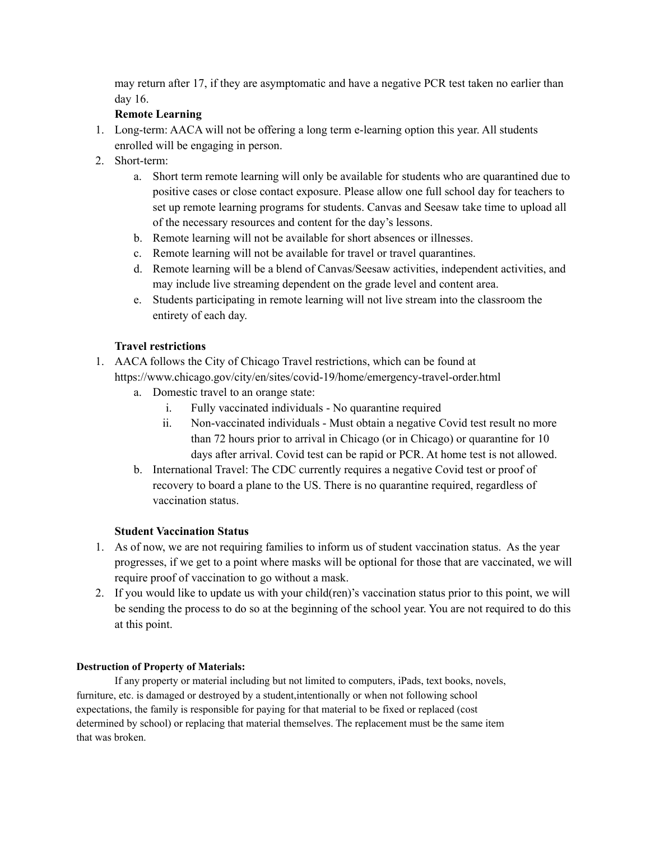may return after 17, if they are asymptomatic and have a negative PCR test taken no earlier than day 16.

# **Remote Learning**

- 1. Long-term: AACA will not be offering a long term e-learning option this year. All students enrolled will be engaging in person.
- 2. Short-term:
	- a. Short term remote learning will only be available for students who are quarantined due to positive cases or close contact exposure. Please allow one full school day for teachers to set up remote learning programs for students. Canvas and Seesaw take time to upload all of the necessary resources and content for the day's lessons.
	- b. Remote learning will not be available for short absences or illnesses.
	- c. Remote learning will not be available for travel or travel quarantines.
	- d. Remote learning will be a blend of Canvas/Seesaw activities, independent activities, and may include live streaming dependent on the grade level and content area.
	- e. Students participating in remote learning will not live stream into the classroom the entirety of each day.

## **Travel restrictions**

- 1. AACA follows the City of Chicago Travel restrictions, which can be found at https://www.chicago.gov/city/en/sites/covid-19/home/emergency-travel-order.html
	- a. Domestic travel to an orange state:
		- i. Fully vaccinated individuals No quarantine required
		- ii. Non-vaccinated individuals Must obtain a negative Covid test result no more than 72 hours prior to arrival in Chicago (or in Chicago) or quarantine for 10 days after arrival. Covid test can be rapid or PCR. At home test is not allowed.
	- b. International Travel: The CDC currently requires a negative Covid test or proof of recovery to board a plane to the US. There is no quarantine required, regardless of vaccination status.

## **Student Vaccination Status**

- 1. As of now, we are not requiring families to inform us of student vaccination status. As the year progresses, if we get to a point where masks will be optional for those that are vaccinated, we will require proof of vaccination to go without a mask.
- 2. If you would like to update us with your child(ren)'s vaccination status prior to this point, we will be sending the process to do so at the beginning of the school year. You are not required to do this at this point.

## **Destruction of Property of Materials:**

If any property or material including but not limited to computers, iPads, text books, novels, furniture, etc. is damaged or destroyed by a student,intentionally or when not following school expectations, the family is responsible for paying for that material to be fixed or replaced (cost determined by school) or replacing that material themselves. The replacement must be the same item that was broken.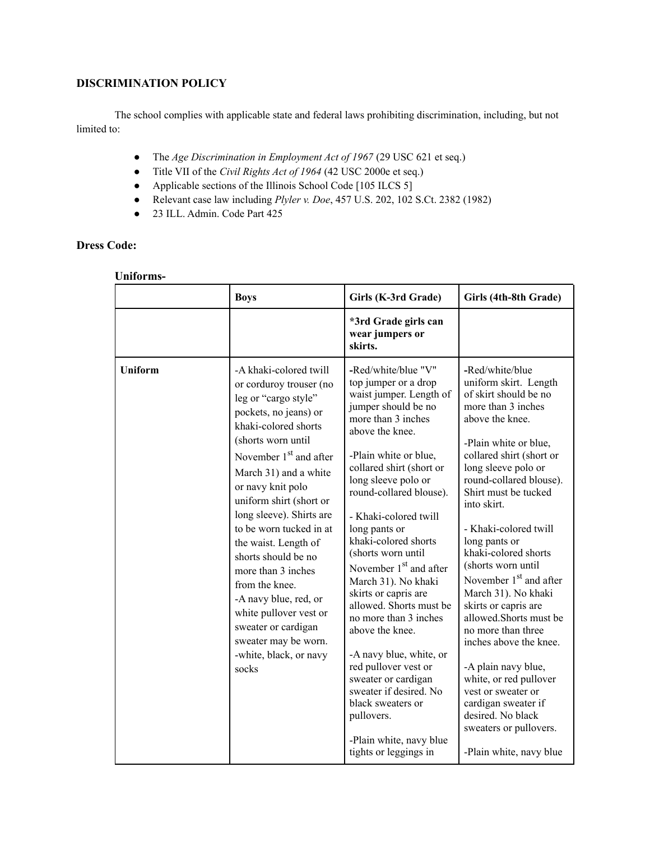# **DISCRIMINATION POLICY**

The school complies with applicable state and federal laws prohibiting discrimination, including, but not limited to:

- The *Age Discrimination in Employment Act of 1967* (29 USC 621 et seq.)
- Title VII of the *Civil Rights Act of 1964* (42 USC 2000e et seq.)
- Applicable sections of the Illinois School Code [105 ILCS 5]
- Relevant case law including *Plyler v. Doe*, 457 U.S. 202, 102 S.Ct. 2382 (1982)
- 23 ILL. Admin. Code Part 425

# **Dress Code:**

# **Uniforms-**

|                | <b>Boys</b>                                                                                                                                                                                                                                                                                                                                                                                                                                                                                                                              | Girls (K-3rd Grade)                                                                                                                                                                                                                                                                                                                                                                                                                                                                                                                                                                                                                                                                | Girls (4th-8th Grade)                                                                                                                                                                                                                                                                                                                                                                                                                                                                                                                                                                                                                                                         |
|----------------|------------------------------------------------------------------------------------------------------------------------------------------------------------------------------------------------------------------------------------------------------------------------------------------------------------------------------------------------------------------------------------------------------------------------------------------------------------------------------------------------------------------------------------------|------------------------------------------------------------------------------------------------------------------------------------------------------------------------------------------------------------------------------------------------------------------------------------------------------------------------------------------------------------------------------------------------------------------------------------------------------------------------------------------------------------------------------------------------------------------------------------------------------------------------------------------------------------------------------------|-------------------------------------------------------------------------------------------------------------------------------------------------------------------------------------------------------------------------------------------------------------------------------------------------------------------------------------------------------------------------------------------------------------------------------------------------------------------------------------------------------------------------------------------------------------------------------------------------------------------------------------------------------------------------------|
|                |                                                                                                                                                                                                                                                                                                                                                                                                                                                                                                                                          | *3rd Grade girls can<br>wear jumpers or<br>skirts.                                                                                                                                                                                                                                                                                                                                                                                                                                                                                                                                                                                                                                 |                                                                                                                                                                                                                                                                                                                                                                                                                                                                                                                                                                                                                                                                               |
| <b>Uniform</b> | -A khaki-colored twill<br>or corduroy trouser (no<br>leg or "cargo style"<br>pockets, no jeans) or<br>khaki-colored shorts<br>(shorts worn until<br>November $1st$ and after<br>March 31) and a white<br>or navy knit polo<br>uniform shirt (short or<br>long sleeve). Shirts are<br>to be worn tucked in at<br>the waist. Length of<br>shorts should be no<br>more than 3 inches<br>from the knee.<br>-A navy blue, red, or<br>white pullover vest or<br>sweater or cardigan<br>sweater may be worn.<br>-white, black, or navy<br>socks | -Red/white/blue "V"<br>top jumper or a drop<br>waist jumper. Length of<br>jumper should be no<br>more than 3 inches<br>above the knee.<br>-Plain white or blue,<br>collared shirt (short or<br>long sleeve polo or<br>round-collared blouse).<br>- Khaki-colored twill<br>long pants or<br>khaki-colored shorts<br>(shorts worn until<br>November $1st$ and after<br>March 31). No khaki<br>skirts or capris are<br>allowed. Shorts must be<br>no more than 3 inches<br>above the knee.<br>-A navy blue, white, or<br>red pullover vest or<br>sweater or cardigan<br>sweater if desired. No<br>black sweaters or<br>pullovers.<br>-Plain white, navy blue<br>tights or leggings in | -Red/white/blue<br>uniform skirt. Length<br>of skirt should be no<br>more than 3 inches<br>above the knee.<br>-Plain white or blue,<br>collared shirt (short or<br>long sleeve polo or<br>round-collared blouse).<br>Shirt must be tucked<br>into skirt.<br>- Khaki-colored twill<br>long pants or<br>khaki-colored shorts<br>(shorts worn until<br>November $1st$ and after<br>March 31). No khaki<br>skirts or capris are<br>allowed.Shorts must be<br>no more than three<br>inches above the knee.<br>-A plain navy blue,<br>white, or red pullover<br>vest or sweater or<br>cardigan sweater if<br>desired. No black<br>sweaters or pullovers.<br>-Plain white, navy blue |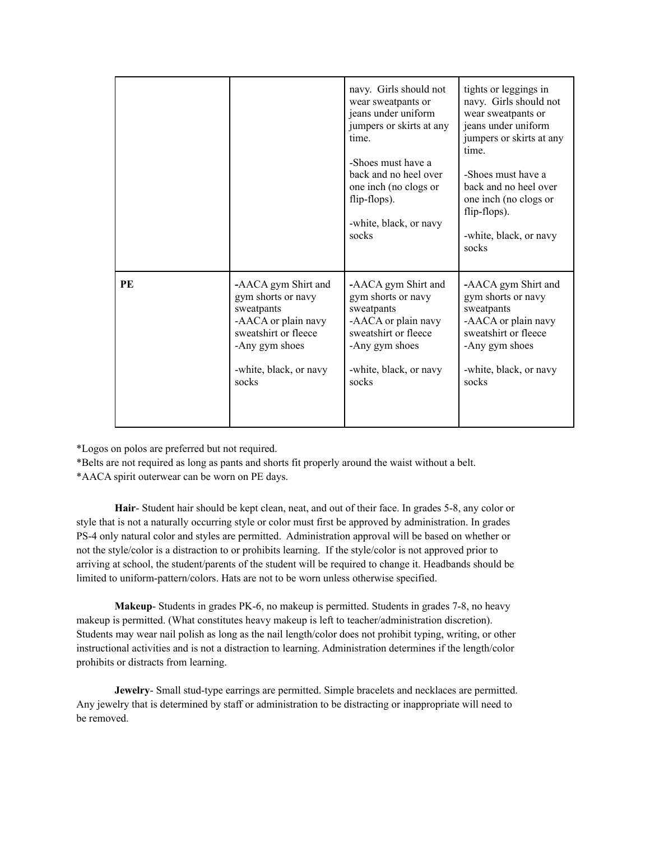|    |                        | navy. Girls should not<br>wear sweatpants or<br>jeans under uniform<br>jumpers or skirts at any<br>time.<br>-Shoes must have a<br>back and no heel over<br>one inch (no clogs or<br>flip-flops).<br>-white, black, or navy<br>socks | tights or leggings in<br>navy. Girls should not<br>wear sweatpants or<br>jeans under uniform<br>jumpers or skirts at any<br>time.<br>-Shoes must have a<br>back and no heel over<br>one inch (no clogs or<br>flip-flops).<br>-white, black, or navy<br>socks |
|----|------------------------|-------------------------------------------------------------------------------------------------------------------------------------------------------------------------------------------------------------------------------------|--------------------------------------------------------------------------------------------------------------------------------------------------------------------------------------------------------------------------------------------------------------|
| PE | -AACA gym Shirt and    | -AACA gym Shirt and                                                                                                                                                                                                                 | -AACA gym Shirt and                                                                                                                                                                                                                                          |
|    | gym shorts or navy     | gym shorts or navy                                                                                                                                                                                                                  | gym shorts or navy                                                                                                                                                                                                                                           |
|    | sweatpants             | sweatpants                                                                                                                                                                                                                          | sweatpants                                                                                                                                                                                                                                                   |
|    | -AACA or plain navy    | -AACA or plain navy                                                                                                                                                                                                                 | -AACA or plain navy                                                                                                                                                                                                                                          |
|    | sweatshirt or fleece   | sweatshirt or fleece                                                                                                                                                                                                                | sweatshirt or fleece                                                                                                                                                                                                                                         |
|    | -Any gym shoes         | -Any gym shoes                                                                                                                                                                                                                      | -Any gym shoes                                                                                                                                                                                                                                               |
|    | -white, black, or navy | -white, black, or navy                                                                                                                                                                                                              | -white, black, or navy                                                                                                                                                                                                                                       |
|    | socks                  | socks                                                                                                                                                                                                                               | socks                                                                                                                                                                                                                                                        |

\*Logos on polos are preferred but not required.

\*Belts are not required as long as pants and shorts fit properly around the waist without a belt.

\*AACA spirit outerwear can be worn on PE days.

**Hair**- Student hair should be kept clean, neat, and out of their face. In grades 5-8, any color or style that is not a naturally occurring style or color must first be approved by administration. In grades PS-4 only natural color and styles are permitted. Administration approval will be based on whether or not the style/color is a distraction to or prohibits learning. If the style/color is not approved prior to arriving at school, the student/parents of the student will be required to change it. Headbands should be limited to uniform-pattern/colors. Hats are not to be worn unless otherwise specified.

**Makeup**- Students in grades PK-6, no makeup is permitted. Students in grades 7-8, no heavy makeup is permitted. (What constitutes heavy makeup is left to teacher/administration discretion). Students may wear nail polish as long as the nail length/color does not prohibit typing, writing, or other instructional activities and is not a distraction to learning. Administration determines if the length/color prohibits or distracts from learning.

**Jewelry**- Small stud-type earrings are permitted. Simple bracelets and necklaces are permitted. Any jewelry that is determined by staff or administration to be distracting or inappropriate will need to be removed.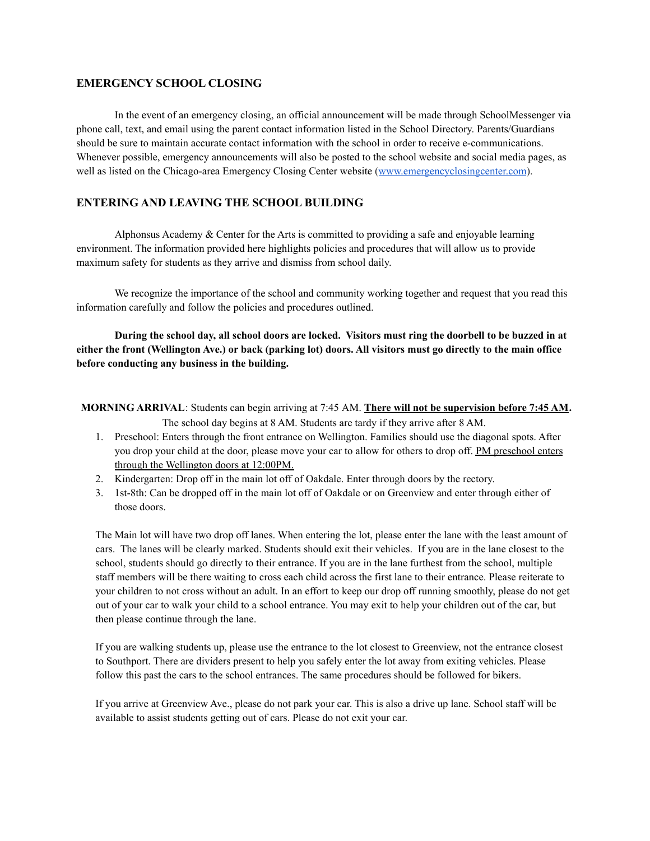## **EMERGENCY SCHOOL CLOSING**

In the event of an emergency closing, an official announcement will be made through SchoolMessenger via phone call, text, and email using the parent contact information listed in the School Directory. Parents/Guardians should be sure to maintain accurate contact information with the school in order to receive e-communications. Whenever possible, emergency announcements will also be posted to the school website and social media pages, as well as listed on the Chicago-area Emergency Closing Center website ([www.emergencyclosingcenter.com](http://www.emergencyclosingcenter.com/)).

## **ENTERING AND LEAVING THE SCHOOL BUILDING**

Alphonsus Academy  $&$  Center for the Arts is committed to providing a safe and enjoyable learning environment. The information provided here highlights policies and procedures that will allow us to provide maximum safety for students as they arrive and dismiss from school daily.

We recognize the importance of the school and community working together and request that you read this information carefully and follow the policies and procedures outlined.

During the school day, all school doors are locked. Visitors must ring the doorbell to be buzzed in at either the front (Wellington Ave.) or back (parking lot) doors. All visitors must go directly to the main office **before conducting any business in the building.**

- **MORNING ARRIVAL**: Students can begin arriving at 7:45 AM. **There will not be supervision before 7:45 AM.** The school day begins at 8 AM. Students are tardy if they arrive after 8 AM.
	- 1. Preschool: Enters through the front entrance on Wellington. Families should use the diagonal spots. After you drop your child at the door, please move your car to allow for others to drop off. PM preschool enters through the Wellington doors at 12:00PM.
	- 2. Kindergarten: Drop off in the main lot off of Oakdale. Enter through doors by the rectory.
	- 3. 1st-8th: Can be dropped off in the main lot off of Oakdale or on Greenview and enter through either of those doors.

The Main lot will have two drop off lanes. When entering the lot, please enter the lane with the least amount of cars. The lanes will be clearly marked. Students should exit their vehicles. If you are in the lane closest to the school, students should go directly to their entrance. If you are in the lane furthest from the school, multiple staff members will be there waiting to cross each child across the first lane to their entrance. Please reiterate to your children to not cross without an adult. In an effort to keep our drop off running smoothly, please do not get out of your car to walk your child to a school entrance. You may exit to help your children out of the car, but then please continue through the lane.

If you are walking students up, please use the entrance to the lot closest to Greenview, not the entrance closest to Southport. There are dividers present to help you safely enter the lot away from exiting vehicles. Please follow this past the cars to the school entrances. The same procedures should be followed for bikers.

If you arrive at Greenview Ave., please do not park your car. This is also a drive up lane. School staff will be available to assist students getting out of cars. Please do not exit your car.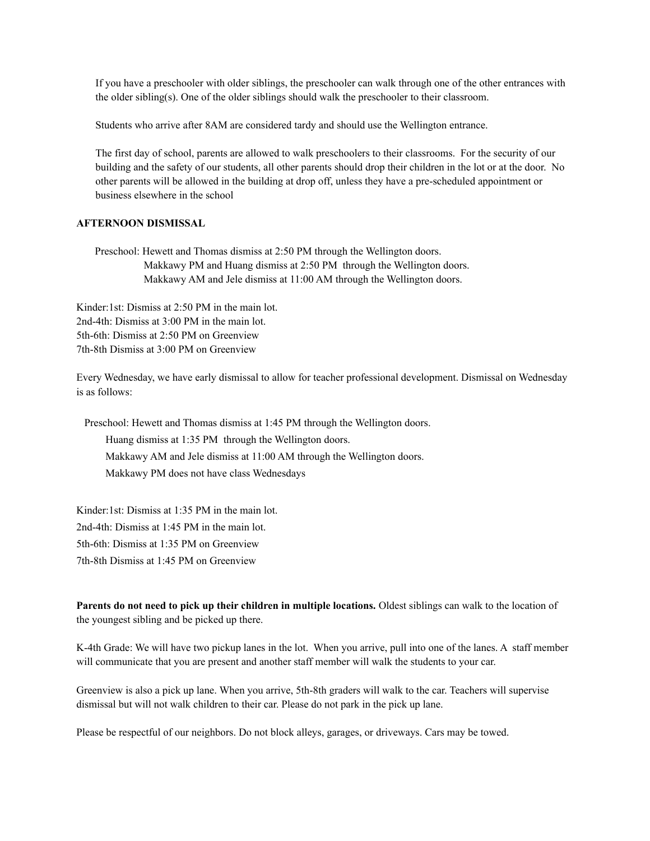If you have a preschooler with older siblings, the preschooler can walk through one of the other entrances with the older sibling(s). One of the older siblings should walk the preschooler to their classroom.

Students who arrive after 8AM are considered tardy and should use the Wellington entrance.

The first day of school, parents are allowed to walk preschoolers to their classrooms. For the security of our building and the safety of our students, all other parents should drop their children in the lot or at the door. No other parents will be allowed in the building at drop off, unless they have a pre-scheduled appointment or business elsewhere in the school

## **AFTERNOON DISMISSAL**

Preschool: Hewett and Thomas dismiss at 2:50 PM through the Wellington doors. Makkawy PM and Huang dismiss at 2:50 PM through the Wellington doors. Makkawy AM and Jele dismiss at 11:00 AM through the Wellington doors.

Kinder:1st: Dismiss at 2:50 PM in the main lot. 2nd-4th: Dismiss at 3:00 PM in the main lot. 5th-6th: Dismiss at 2:50 PM on Greenview 7th-8th Dismiss at 3:00 PM on Greenview

Every Wednesday, we have early dismissal to allow for teacher professional development. Dismissal on Wednesday is as follows:

Preschool: Hewett and Thomas dismiss at 1:45 PM through the Wellington doors.

Huang dismiss at 1:35 PM through the Wellington doors.

Makkawy AM and Jele dismiss at 11:00 AM through the Wellington doors.

Makkawy PM does not have class Wednesdays

Kinder:1st: Dismiss at 1:35 PM in the main lot.

2nd-4th: Dismiss at 1:45 PM in the main lot.

5th-6th: Dismiss at 1:35 PM on Greenview

7th-8th Dismiss at 1:45 PM on Greenview

**Parents do not need to pick up their children in multiple locations.** Oldest siblings can walk to the location of the youngest sibling and be picked up there.

K-4th Grade: We will have two pickup lanes in the lot. When you arrive, pull into one of the lanes. A staff member will communicate that you are present and another staff member will walk the students to your car.

Greenview is also a pick up lane. When you arrive, 5th-8th graders will walk to the car. Teachers will supervise dismissal but will not walk children to their car. Please do not park in the pick up lane.

Please be respectful of our neighbors. Do not block alleys, garages, or driveways. Cars may be towed.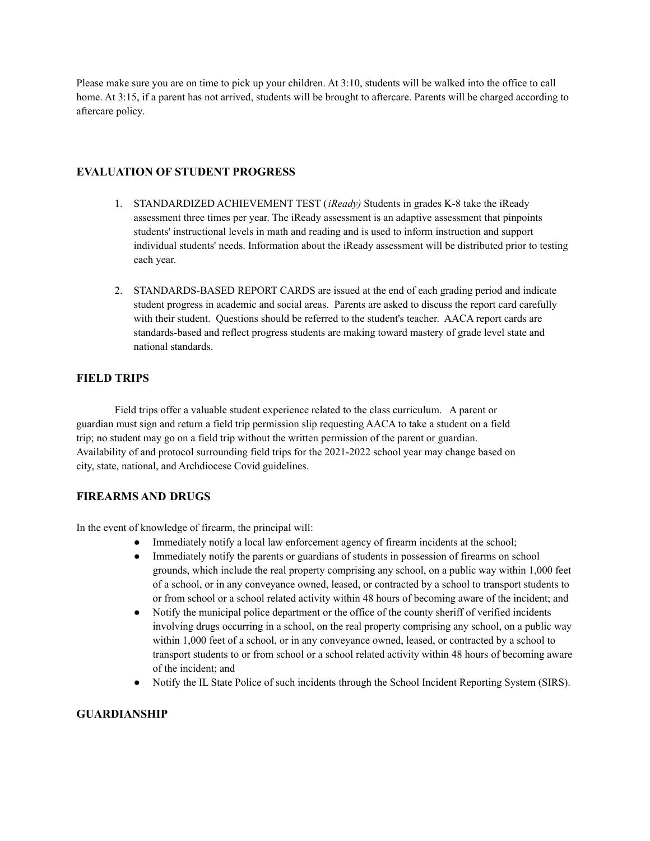Please make sure you are on time to pick up your children. At 3:10, students will be walked into the office to call home. At 3:15, if a parent has not arrived, students will be brought to aftercare. Parents will be charged according to aftercare policy.

# **EVALUATION OF STUDENT PROGRESS**

- 1. STANDARDIZED ACHIEVEMENT TEST (*iReady)* Students in grades K-8 take the iReady assessment three times per year. The iReady assessment is an adaptive assessment that pinpoints students' instructional levels in math and reading and is used to inform instruction and support individual students' needs. Information about the iReady assessment will be distributed prior to testing each year.
- 2. STANDARDS-BASED REPORT CARDS are issued at the end of each grading period and indicate student progress in academic and social areas. Parents are asked to discuss the report card carefully with their student. Questions should be referred to the student's teacher. AACA report cards are standards-based and reflect progress students are making toward mastery of grade level state and national standards.

## **FIELD TRIPS**

Field trips offer a valuable student experience related to the class curriculum. A parent or guardian must sign and return a field trip permission slip requesting AACA to take a student on a field trip; no student may go on a field trip without the written permission of the parent or guardian. Availability of and protocol surrounding field trips for the 2021-2022 school year may change based on city, state, national, and Archdiocese Covid guidelines.

# **FIREARMS AND DRUGS**

In the event of knowledge of firearm, the principal will:

- Immediately notify a local law enforcement agency of firearm incidents at the school;
- Immediately notify the parents or guardians of students in possession of firearms on school grounds, which include the real property comprising any school, on a public way within 1,000 feet of a school, or in any conveyance owned, leased, or contracted by a school to transport students to or from school or a school related activity within 48 hours of becoming aware of the incident; and
- Notify the municipal police department or the office of the county sheriff of verified incidents involving drugs occurring in a school, on the real property comprising any school, on a public way within 1,000 feet of a school, or in any conveyance owned, leased, or contracted by a school to transport students to or from school or a school related activity within 48 hours of becoming aware of the incident; and
- Notify the IL State Police of such incidents through the School Incident Reporting System (SIRS).

## **GUARDIANSHIP**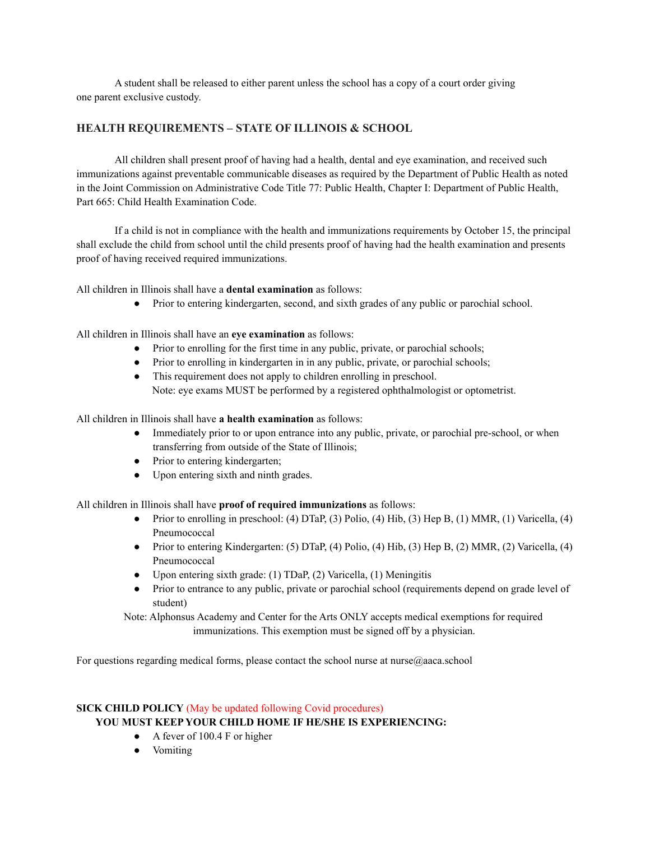A student shall be released to either parent unless the school has a copy of a court order giving one parent exclusive custody.

## **HEALTH REQUIREMENTS – STATE OF ILLINOIS & SCHOOL**

All children shall present proof of having had a health, dental and eye examination, and received such immunizations against preventable communicable diseases as required by the Department of Public Health as noted in the Joint Commission on Administrative Code Title 77: Public Health, Chapter I: Department of Public Health, Part 665: Child Health Examination Code.

If a child is not in compliance with the health and immunizations requirements by October 15, the principal shall exclude the child from school until the child presents proof of having had the health examination and presents proof of having received required immunizations.

All children in Illinois shall have a **dental examination** as follows:

• Prior to entering kindergarten, second, and sixth grades of any public or parochial school.

All children in Illinois shall have an **eye examination** as follows:

- Prior to enrolling for the first time in any public, private, or parochial schools;
- Prior to enrolling in kindergarten in in any public, private, or parochial schools;
- This requirement does not apply to children enrolling in preschool. Note: eye exams MUST be performed by a registered ophthalmologist or optometrist.

All children in Illinois shall have **a health examination** as follows:

- Immediately prior to or upon entrance into any public, private, or parochial pre-school, or when transferring from outside of the State of Illinois;
- Prior to entering kindergarten;
- Upon entering sixth and ninth grades.

All children in Illinois shall have **proof of required immunizations** as follows:

- Prior to enrolling in preschool: (4) DTaP, (3) Polio, (4) Hib, (3) Hep B, (1) MMR, (1) Varicella, (4) Pneumococcal
- Prior to entering Kindergarten: (5) DTaP, (4) Polio, (4) Hib, (3) Hep B, (2) MMR, (2) Varicella, (4) Pneumococcal
- Upon entering sixth grade: (1) TDaP, (2) Varicella, (1) Meningitis
- Prior to entrance to any public, private or parochial school (requirements depend on grade level of student)

Note: Alphonsus Academy and Center for the Arts ONLY accepts medical exemptions for required immunizations. This exemption must be signed off by a physician.

For questions regarding medical forms, please contact the school nurse at nurse@aaca.school

## **SICK CHILD POLICY** (May be updated following Covid procedures) **YOU MUST KEEP YOUR CHILD HOME IF HE/SHE IS EXPERIENCING:**

- A fever of 100.4 F or higher
- Vomiting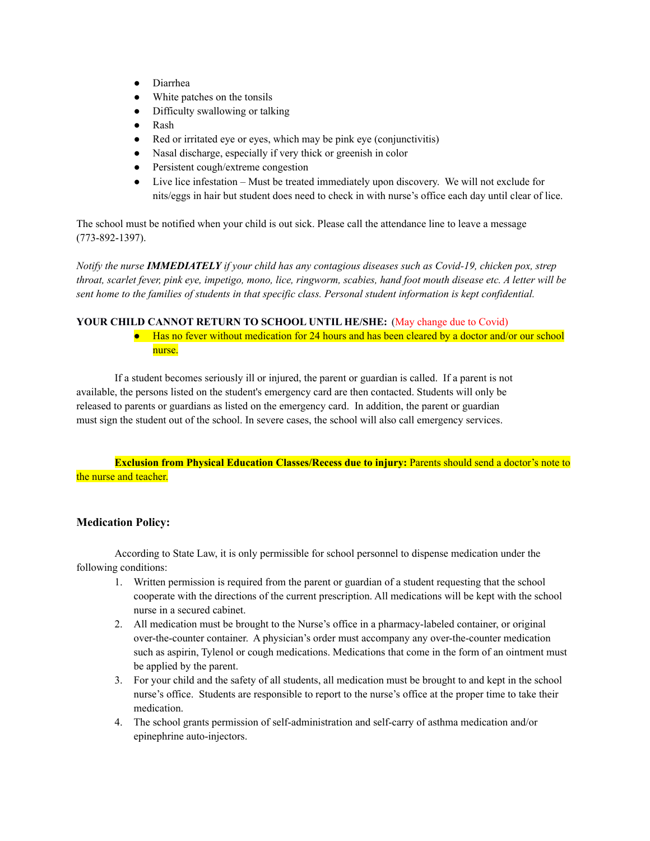- Diarrhea
- White patches on the tonsils
- Difficulty swallowing or talking
- Rash
- Red or irritated eye or eyes, which may be pink eye (conjunctivitis)
- Nasal discharge, especially if very thick or greenish in color
- Persistent cough/extreme congestion
- Live lice infestation Must be treated immediately upon discovery. We will not exclude for nits/eggs in hair but student does need to check in with nurse's office each day until clear of lice.

The school must be notified when your child is out sick. Please call the attendance line to leave a message (773-892-1397).

Notify the nurse **IMMEDIATELY** if your child has any contagious diseases such as Covid-19, chicken pox, strep throat, scarlet fever, pink eye, impetigo, mono, lice, ringworm, scabies, hand foot mouth disease etc. A letter will be sent home to the families of students in that specific class. Personal student information is kept confidential.

#### **YOUR CHILD CANNOT RETURN TO SCHOOL UNTIL HE/SHE:** (May change due to Covid)

● Has no fever without medication for 24 hours and has been cleared by a doctor and/or our school nurse.

If a student becomes seriously ill or injured, the parent or guardian is called. If a parent is not available, the persons listed on the student's emergency card are then contacted. Students will only be released to parents or guardians as listed on the emergency card. In addition, the parent or guardian must sign the student out of the school. In severe cases, the school will also call emergency services.

**Exclusion from Physical Education Classes/Recess due to injury:** Parents should send a doctor's note to the nurse and teacher.

#### **Medication Policy:**

According to State Law, it is only permissible for school personnel to dispense medication under the following conditions:

- 1. Written permission is required from the parent or guardian of a student requesting that the school cooperate with the directions of the current prescription. All medications will be kept with the school nurse in a secured cabinet.
- 2. All medication must be brought to the Nurse's office in a pharmacy-labeled container, or original over-the-counter container. A physician's order must accompany any over-the-counter medication such as aspirin, Tylenol or cough medications. Medications that come in the form of an ointment must be applied by the parent.
- 3. For your child and the safety of all students, all medication must be brought to and kept in the school nurse's office. Students are responsible to report to the nurse's office at the proper time to take their medication.
- 4. The school grants permission of self-administration and self-carry of asthma medication and/or epinephrine auto-injectors.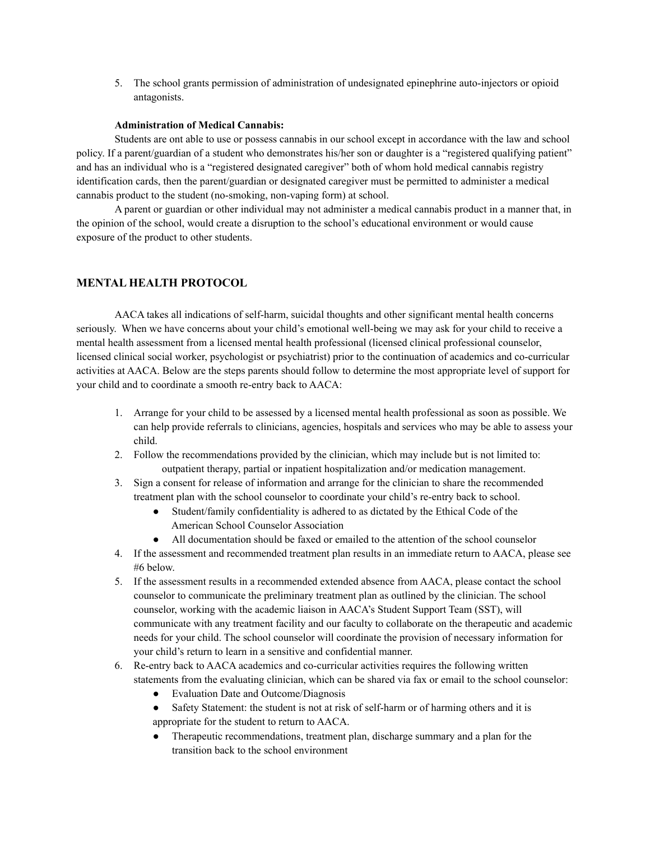5. The school grants permission of administration of undesignated epinephrine auto-injectors or opioid antagonists.

#### **Administration of Medical Cannabis:**

Students are ont able to use or possess cannabis in our school except in accordance with the law and school policy. If a parent/guardian of a student who demonstrates his/her son or daughter is a "registered qualifying patient" and has an individual who is a "registered designated caregiver" both of whom hold medical cannabis registry identification cards, then the parent/guardian or designated caregiver must be permitted to administer a medical cannabis product to the student (no-smoking, non-vaping form) at school.

A parent or guardian or other individual may not administer a medical cannabis product in a manner that, in the opinion of the school, would create a disruption to the school's educational environment or would cause exposure of the product to other students.

## **MENTAL HEALTH PROTOCOL**

AACA takes all indications of self-harm, suicidal thoughts and other significant mental health concerns seriously. When we have concerns about your child's emotional well-being we may ask for your child to receive a mental health assessment from a licensed mental health professional (licensed clinical professional counselor, licensed clinical social worker, psychologist or psychiatrist) prior to the continuation of academics and co-curricular activities at AACA. Below are the steps parents should follow to determine the most appropriate level of support for your child and to coordinate a smooth re-entry back to AACA:

- 1. Arrange for your child to be assessed by a licensed mental health professional as soon as possible. We can help provide referrals to clinicians, agencies, hospitals and services who may be able to assess your child.
- 2. Follow the recommendations provided by the clinician, which may include but is not limited to: outpatient therapy, partial or inpatient hospitalization and/or medication management.
- 3. Sign a consent for release of information and arrange for the clinician to share the recommended treatment plan with the school counselor to coordinate your child's re-entry back to school.
	- Student/family confidentiality is adhered to as dictated by the Ethical Code of the American School Counselor Association
	- All documentation should be faxed or emailed to the attention of the school counselor
- 4. If the assessment and recommended treatment plan results in an immediate return to AACA, please see #6 below.
- 5. If the assessment results in a recommended extended absence from AACA, please contact the school counselor to communicate the preliminary treatment plan as outlined by the clinician. The school counselor, working with the academic liaison in AACA's Student Support Team (SST), will communicate with any treatment facility and our faculty to collaborate on the therapeutic and academic needs for your child. The school counselor will coordinate the provision of necessary information for your child's return to learn in a sensitive and confidential manner.
- 6. Re-entry back to AACA academics and co-curricular activities requires the following written statements from the evaluating clinician, which can be shared via fax or email to the school counselor:
	- Evaluation Date and Outcome/Diagnosis
	- Safety Statement: the student is not at risk of self-harm or of harming others and it is appropriate for the student to return to AACA.
	- Therapeutic recommendations, treatment plan, discharge summary and a plan for the transition back to the school environment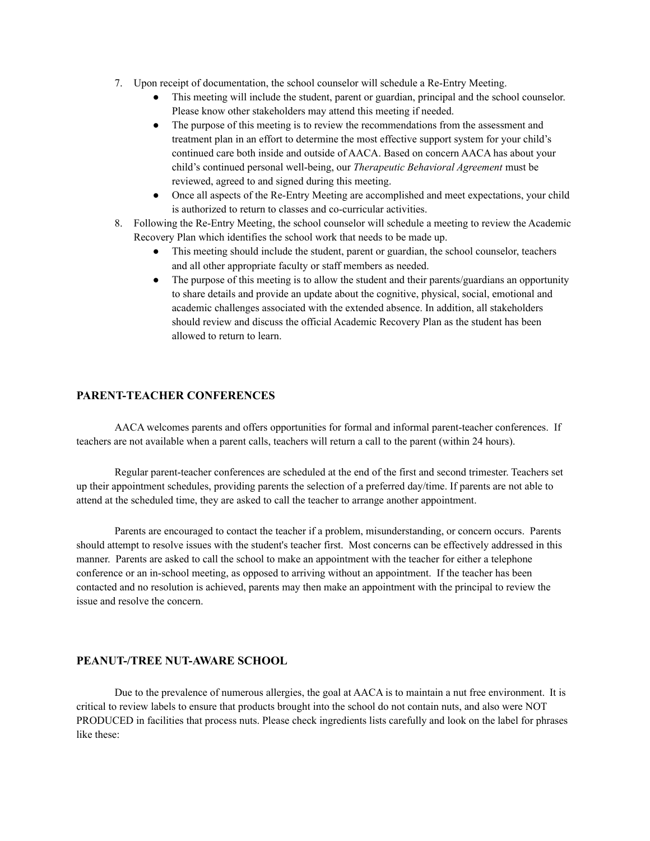- 7. Upon receipt of documentation, the school counselor will schedule a Re-Entry Meeting.
	- This meeting will include the student, parent or guardian, principal and the school counselor. Please know other stakeholders may attend this meeting if needed.
	- The purpose of this meeting is to review the recommendations from the assessment and treatment plan in an effort to determine the most effective support system for your child's continued care both inside and outside of AACA. Based on concern AACA has about your child's continued personal well-being, our *Therapeutic Behavioral Agreement* must be reviewed, agreed to and signed during this meeting.
	- Once all aspects of the Re-Entry Meeting are accomplished and meet expectations, your child is authorized to return to classes and co-curricular activities.
- 8. Following the Re-Entry Meeting, the school counselor will schedule a meeting to review the Academic Recovery Plan which identifies the school work that needs to be made up.
	- This meeting should include the student, parent or guardian, the school counselor, teachers and all other appropriate faculty or staff members as needed.
	- The purpose of this meeting is to allow the student and their parents/guardians an opportunity to share details and provide an update about the cognitive, physical, social, emotional and academic challenges associated with the extended absence. In addition, all stakeholders should review and discuss the official Academic Recovery Plan as the student has been allowed to return to learn.

## **PARENT-TEACHER CONFERENCES**

AACA welcomes parents and offers opportunities for formal and informal parent-teacher conferences. If teachers are not available when a parent calls, teachers will return a call to the parent (within 24 hours).

Regular parent-teacher conferences are scheduled at the end of the first and second trimester. Teachers set up their appointment schedules, providing parents the selection of a preferred day/time. If parents are not able to attend at the scheduled time, they are asked to call the teacher to arrange another appointment.

Parents are encouraged to contact the teacher if a problem, misunderstanding, or concern occurs. Parents should attempt to resolve issues with the student's teacher first. Most concerns can be effectively addressed in this manner. Parents are asked to call the school to make an appointment with the teacher for either a telephone conference or an in-school meeting, as opposed to arriving without an appointment. If the teacher has been contacted and no resolution is achieved, parents may then make an appointment with the principal to review the issue and resolve the concern.

#### **PEANUT-/TREE NUT-AWARE SCHOOL**

Due to the prevalence of numerous allergies, the goal at AACA is to maintain a nut free environment. It is critical to review labels to ensure that products brought into the school do not contain nuts, and also were NOT PRODUCED in facilities that process nuts. Please check ingredients lists carefully and look on the label for phrases like these: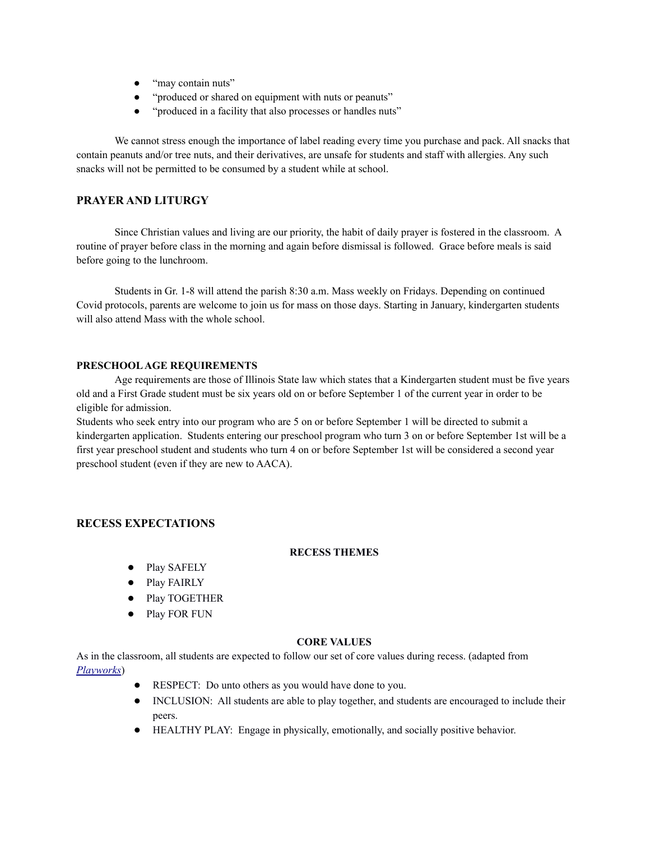- "may contain nuts"
- "produced or shared on equipment with nuts or peanuts"
- "produced in a facility that also processes or handles nuts"

We cannot stress enough the importance of label reading every time you purchase and pack. All snacks that contain peanuts and/or tree nuts, and their derivatives, are unsafe for students and staff with allergies. Any such snacks will not be permitted to be consumed by a student while at school.

## **PRAYER AND LITURGY**

Since Christian values and living are our priority, the habit of daily prayer is fostered in the classroom. A routine of prayer before class in the morning and again before dismissal is followed. Grace before meals is said before going to the lunchroom.

Students in Gr. 1-8 will attend the parish 8:30 a.m. Mass weekly on Fridays. Depending on continued Covid protocols, parents are welcome to join us for mass on those days. Starting in January, kindergarten students will also attend Mass with the whole school.

#### **PRESCHOOLAGE REQUIREMENTS**

Age requirements are those of Illinois State law which states that a Kindergarten student must be five years old and a First Grade student must be six years old on or before September 1 of the current year in order to be eligible for admission.

Students who seek entry into our program who are 5 on or before September 1 will be directed to submit a kindergarten application. Students entering our preschool program who turn 3 on or before September 1st will be a first year preschool student and students who turn 4 on or before September 1st will be considered a second year preschool student (even if they are new to AACA).

## **RECESS EXPECTATIONS**

#### **RECESS THEMES**

- Play SAFELY
- Play FAIRLY
- Play TOGETHER
- Play FOR FUN

#### **CORE VALUES**

As in the classroom, all students are expected to follow our set of core values during recess. (adapted from *[Playworks](http://www.playworks.org/)*)

- RESPECT: Do unto others as you would have done to you.
- INCLUSION: All students are able to play together, and students are encouraged to include their peers.
- HEALTHY PLAY: Engage in physically, emotionally, and socially positive behavior.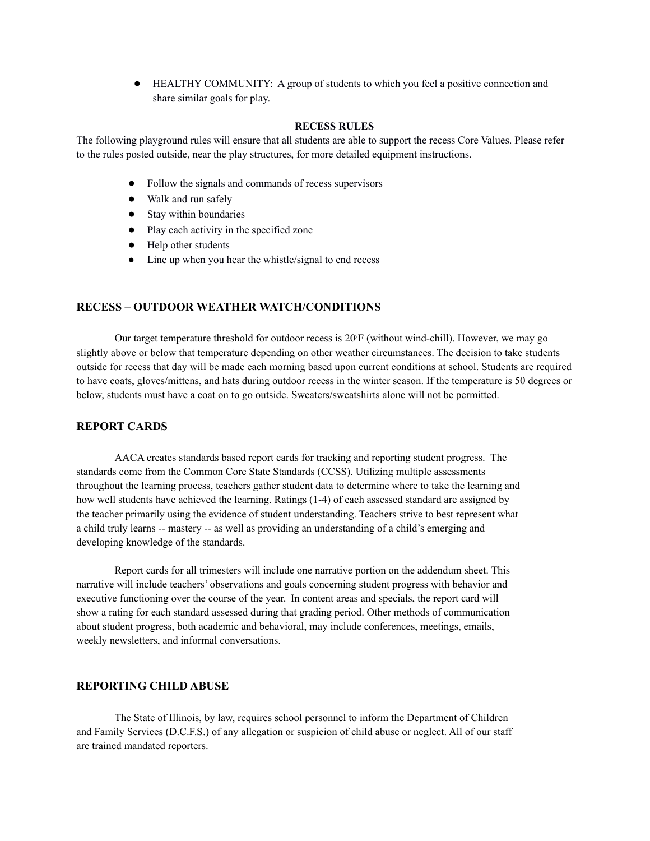● HEALTHY COMMUNITY: A group of students to which you feel a positive connection and share similar goals for play.

#### **RECESS RULES**

The following playground rules will ensure that all students are able to support the recess Core Values. Please refer to the rules posted outside, near the play structures, for more detailed equipment instructions.

- Follow the signals and commands of recess supervisors
- Walk and run safely
- Stay within boundaries
- Play each activity in the specified zone
- Help other students
- Line up when you hear the whistle/signal to end recess

#### **RECESS – OUTDOOR WEATHER WATCH/CONDITIONS**

Our target temperature threshold for outdoor recess is  $20 \text{F}$  (without wind-chill). However, we may go slightly above or below that temperature depending on other weather circumstances. The decision to take students outside for recess that day will be made each morning based upon current conditions at school. Students are required to have coats, gloves/mittens, and hats during outdoor recess in the winter season. If the temperature is 50 degrees or below, students must have a coat on to go outside. Sweaters/sweatshirts alone will not be permitted.

## **REPORT CARDS**

AACA creates standards based report cards for tracking and reporting student progress. The standards come from the Common Core State Standards (CCSS). Utilizing multiple assessments throughout the learning process, teachers gather student data to determine where to take the learning and how well students have achieved the learning. Ratings (1-4) of each assessed standard are assigned by the teacher primarily using the evidence of student understanding. Teachers strive to best represent what a child truly learns -- mastery -- as well as providing an understanding of a child's emerging and developing knowledge of the standards.

Report cards for all trimesters will include one narrative portion on the addendum sheet. This narrative will include teachers' observations and goals concerning student progress with behavior and executive functioning over the course of the year. In content areas and specials, the report card will show a rating for each standard assessed during that grading period. Other methods of communication about student progress, both academic and behavioral, may include conferences, meetings, emails, weekly newsletters, and informal conversations.

## **REPORTING CHILD ABUSE**

The State of Illinois, by law, requires school personnel to inform the Department of Children and Family Services (D.C.F.S.) of any allegation or suspicion of child abuse or neglect. All of our staff are trained mandated reporters.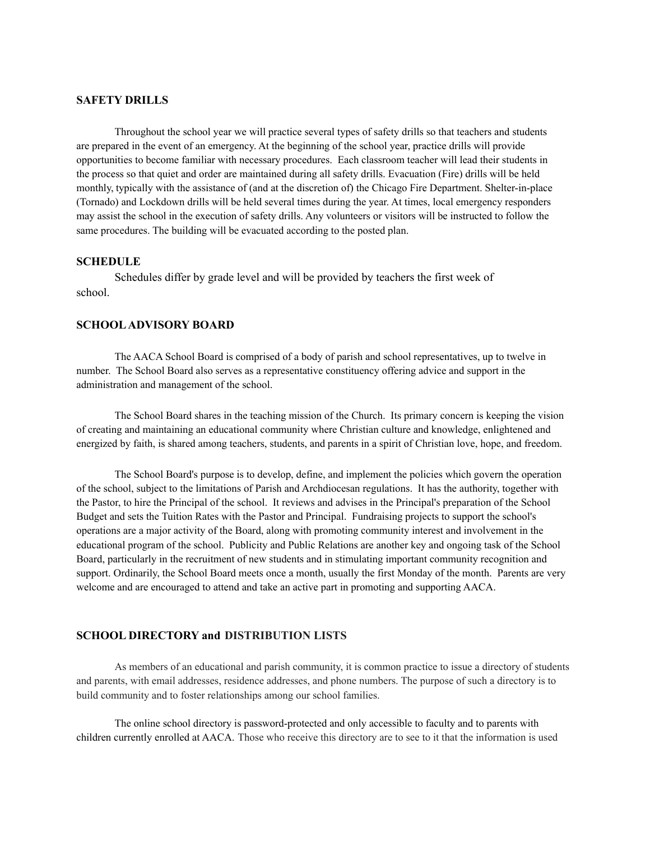## **SAFETY DRILLS**

Throughout the school year we will practice several types of safety drills so that teachers and students are prepared in the event of an emergency. At the beginning of the school year, practice drills will provide opportunities to become familiar with necessary procedures. Each classroom teacher will lead their students in the process so that quiet and order are maintained during all safety drills. Evacuation (Fire) drills will be held monthly, typically with the assistance of (and at the discretion of) the Chicago Fire Department. Shelter-in-place (Tornado) and Lockdown drills will be held several times during the year. At times, local emergency responders may assist the school in the execution of safety drills. Any volunteers or visitors will be instructed to follow the same procedures. The building will be evacuated according to the posted plan.

## **SCHEDULE**

Schedules differ by grade level and will be provided by teachers the first week of school.

#### **SCHOOLADVISORY BOARD**

The AACA School Board is comprised of a body of parish and school representatives, up to twelve in number. The School Board also serves as a representative constituency offering advice and support in the administration and management of the school.

The School Board shares in the teaching mission of the Church. Its primary concern is keeping the vision of creating and maintaining an educational community where Christian culture and knowledge, enlightened and energized by faith, is shared among teachers, students, and parents in a spirit of Christian love, hope, and freedom.

The School Board's purpose is to develop, define, and implement the policies which govern the operation of the school, subject to the limitations of Parish and Archdiocesan regulations. It has the authority, together with the Pastor, to hire the Principal of the school. It reviews and advises in the Principal's preparation of the School Budget and sets the Tuition Rates with the Pastor and Principal. Fundraising projects to support the school's operations are a major activity of the Board, along with promoting community interest and involvement in the educational program of the school. Publicity and Public Relations are another key and ongoing task of the School Board, particularly in the recruitment of new students and in stimulating important community recognition and support. Ordinarily, the School Board meets once a month, usually the first Monday of the month. Parents are very welcome and are encouraged to attend and take an active part in promoting and supporting AACA.

#### **SCHOOL DIRECTORY and DISTRIBUTION LISTS**

As members of an educational and parish community, it is common practice to issue a directory of students and parents, with email addresses, residence addresses, and phone numbers. The purpose of such a directory is to build community and to foster relationships among our school families.

The online school directory is password-protected and only accessible to faculty and to parents with children currently enrolled at AACA. Those who receive this directory are to see to it that the information is used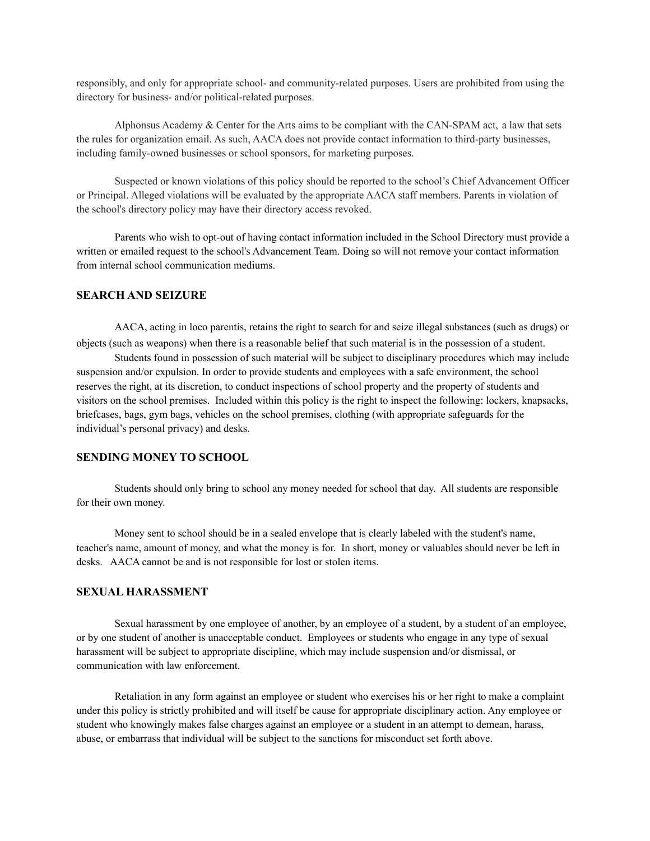responsibly, and only for appropriate school- and community-related purposes. Users are prohibited from using the directory for business- and/or political-related purposes.

Alphonsus Academy  $&$  Center for the Arts aims to be compliant with the CAN-SPAM act, a law that sets the rules for organization email. As such, AACA does not provide contact information to third-party businesses, including family-owned businesses or school sponsors, for marketing purposes.

Suspected or known violations of this policy should be reported to the school's Chief Advancement Officer or Principal. Alleged violations will be evaluated by the appropriate AACA staff members. Parents in violation of the school's directory policy may have their directory access revoked.

Parents who wish to opt-out of having contact information included in the School Directory must provide a written or emailed request to the school's Advancement Team. Doing so will not remove your contact information from internal school communication mediums.

#### **SEARCH AND SEIZURE**

AACA, acting in loco parentis, retains the right to search for and seize illegal substances (such as drugs) or objects (such as weapons) when there is a reasonable belief that such material is in the possession of a student.

Students found in possession of such material will be subject to disciplinary procedures which may include suspension and/or expulsion. In order to provide students and employees with a safe environment, the school reserves the right, at its discretion, to conduct inspections of school property and the property of students and visitors on the school premises. Included within this policy is the right to inspect the following: lockers, knapsacks, briefcases, bags, gym bags, vehicles on the school premises, clothing (with appropriate safeguards for the individual's personal privacy) and desks.

#### **SENDING MONEY TO SCHOOL**

Students should only bring to school any money needed for school that day. All students are responsible for their own money.

Money sent to school should be in a sealed envelope that is clearly labeled with the student's name, teacher's name, amount of money, and what the money is for. In short, money or valuables should never be left in desks. AACA cannot be and is not responsible for lost or stolen items.

#### **SEXUAL HARASSMENT**

Sexual harassment by one employee of another, by an employee of a student, by a student of an employee, or by one student of another is unacceptable conduct. Employees or students who engage in any type of sexual harassment will be subject to appropriate discipline, which may include suspension and/or dismissal, or communication with law enforcement.

Retaliation in any form against an employee or student who exercises his or her right to make a complaint under this policy is strictly prohibited and will itself be cause for appropriate disciplinary action. Any employee or student who knowingly makes false charges against an employee or a student in an attempt to demean, harass, abuse, or embarrass that individual will be subject to the sanctions for misconduct set forth above.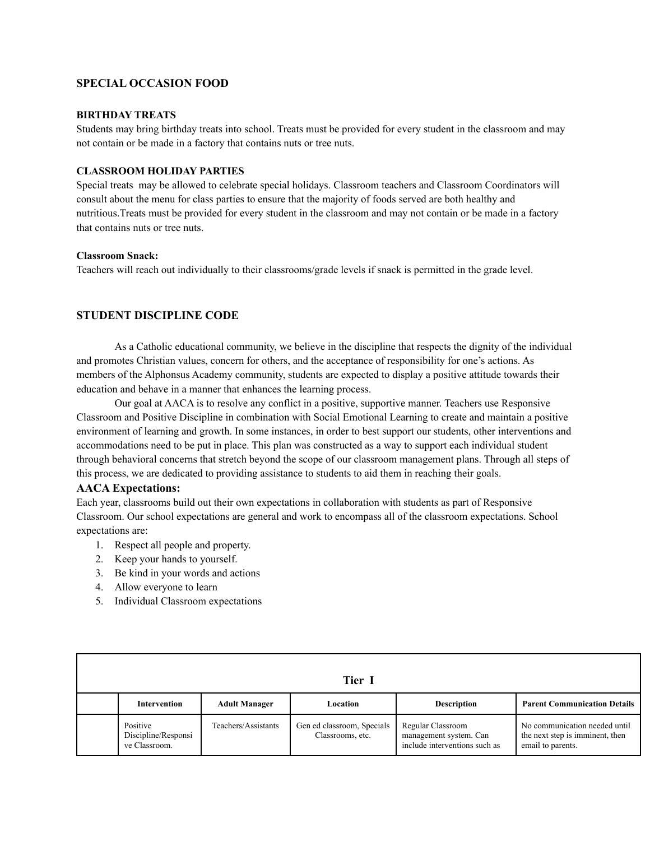## **SPECIAL OCCASION FOOD**

#### **BIRTHDAY TREATS**

Students may bring birthday treats into school. Treats must be provided for every student in the classroom and may not contain or be made in a factory that contains nuts or tree nuts.

#### **CLASSROOM HOLIDAY PARTIES**

Special treats may be allowed to celebrate special holidays. Classroom teachers and Classroom Coordinators will consult about the menu for class parties to ensure that the majority of foods served are both healthy and nutritious.Treats must be provided for every student in the classroom and may not contain or be made in a factory that contains nuts or tree nuts.

#### **Classroom Snack:**

Teachers will reach out individually to their classrooms/grade levels if snack is permitted in the grade level.

## **STUDENT DISCIPLINE CODE**

As a Catholic educational community, we believe in the discipline that respects the dignity of the individual and promotes Christian values, concern for others, and the acceptance of responsibility for one's actions. As members of the Alphonsus Academy community, students are expected to display a positive attitude towards their education and behave in a manner that enhances the learning process.

Our goal at AACA is to resolve any conflict in a positive, supportive manner. Teachers use Responsive Classroom and Positive Discipline in combination with Social Emotional Learning to create and maintain a positive environment of learning and growth. In some instances, in order to best support our students, other interventions and accommodations need to be put in place. This plan was constructed as a way to support each individual student through behavioral concerns that stretch beyond the scope of our classroom management plans. Through all steps of this process, we are dedicated to providing assistance to students to aid them in reaching their goals.

#### **AACA Expectations:**

Each year, classrooms build out their own expectations in collaboration with students as part of Responsive Classroom. Our school expectations are general and work to encompass all of the classroom expectations. School expectations are:

- 1. Respect all people and property.
- 2. Keep your hands to yourself.
- 3. Be kind in your words and actions
- 4. Allow everyone to learn
- 5. Individual Classroom expectations

| Tier I                                           |                      |                                                |                                                                              |                                                                                       |
|--------------------------------------------------|----------------------|------------------------------------------------|------------------------------------------------------------------------------|---------------------------------------------------------------------------------------|
| <b>Intervention</b>                              | <b>Adult Manager</b> | Location                                       | <b>Description</b>                                                           | <b>Parent Communication Details</b>                                                   |
| Positive<br>Discipline/Responsi<br>ve Classroom. | Teachers/Assistants  | Gen ed classroom, Specials<br>Classrooms, etc. | Regular Classroom<br>management system. Can<br>include interventions such as | No communication needed until<br>the next step is imminent, then<br>email to parents. |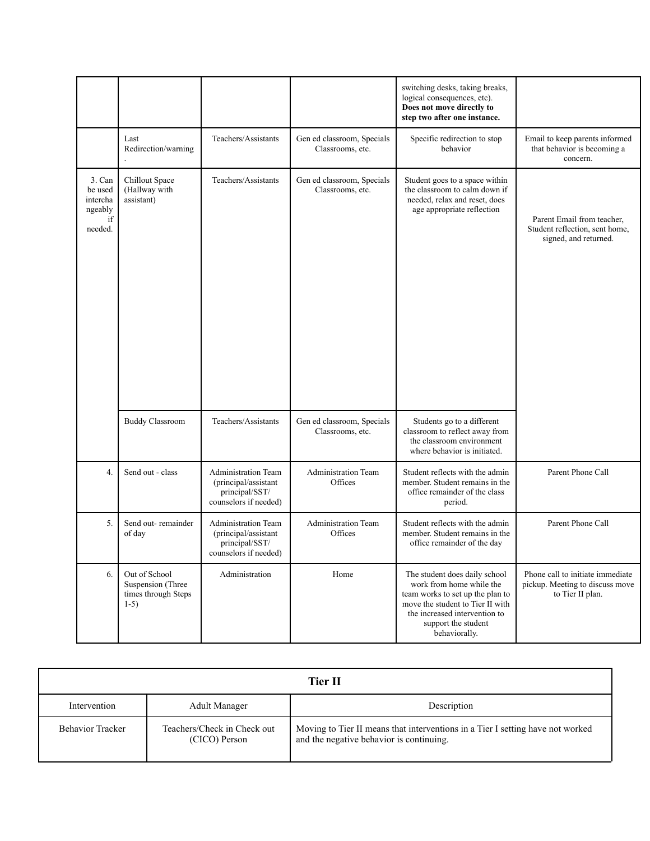|                                                           |                                                                     |                                                                                        |                                                | switching desks, taking breaks,<br>logical consequences, etc).<br>Does not move directly to<br>step two after one instance.                                                                                |                                                                                         |
|-----------------------------------------------------------|---------------------------------------------------------------------|----------------------------------------------------------------------------------------|------------------------------------------------|------------------------------------------------------------------------------------------------------------------------------------------------------------------------------------------------------------|-----------------------------------------------------------------------------------------|
|                                                           | Last<br>Redirection/warning                                         | Teachers/Assistants                                                                    | Gen ed classroom, Specials<br>Classrooms, etc. | Specific redirection to stop<br>behavior                                                                                                                                                                   | Email to keep parents informed<br>that behavior is becoming a<br>concern.               |
| 3. Can<br>be used<br>intercha<br>ngeably<br>if<br>needed. | Chillout Space<br>(Hallway with<br>assistant)                       | Teachers/Assistants                                                                    | Gen ed classroom, Specials<br>Classrooms, etc. | Student goes to a space within<br>the classroom to calm down if<br>needed, relax and reset, does<br>age appropriate reflection                                                                             | Parent Email from teacher,<br>Student reflection, sent home,<br>signed, and returned.   |
|                                                           | <b>Buddy Classroom</b>                                              | Teachers/Assistants                                                                    | Gen ed classroom, Specials<br>Classrooms, etc. | Students go to a different<br>classroom to reflect away from<br>the classroom environment<br>where behavior is initiated.                                                                                  |                                                                                         |
| $\overline{4}$ .                                          | Send out - class                                                    | Administration Team<br>(principal/assistant<br>principal/SST/<br>counselors if needed) | <b>Administration Team</b><br>Offices          | Student reflects with the admin<br>member. Student remains in the<br>office remainder of the class<br>period.                                                                                              | Parent Phone Call                                                                       |
| 5.                                                        | Send out-remainder<br>of day                                        | Administration Team<br>(principal/assistant<br>principal/SST/<br>counselors if needed) | <b>Administration Team</b><br>Offices          | Student reflects with the admin<br>member. Student remains in the<br>office remainder of the day                                                                                                           | Parent Phone Call                                                                       |
| 6.                                                        | Out of School<br>Suspension (Three<br>times through Steps<br>$1-5)$ | Administration                                                                         | Home                                           | The student does daily school<br>work from home while the<br>team works to set up the plan to<br>move the student to Tier II with<br>the increased intervention to<br>support the student<br>behaviorally. | Phone call to initiate immediate<br>pickup. Meeting to discuss move<br>to Tier II plan. |

|                         |                                              | <b>Tier II</b>                                                                                                             |
|-------------------------|----------------------------------------------|----------------------------------------------------------------------------------------------------------------------------|
| Intervention            | <b>Adult Manager</b>                         | Description                                                                                                                |
| <b>Behavior Tracker</b> | Teachers/Check in Check out<br>(CICO) Person | Moving to Tier II means that interventions in a Tier I setting have not worked<br>and the negative behavior is continuing. |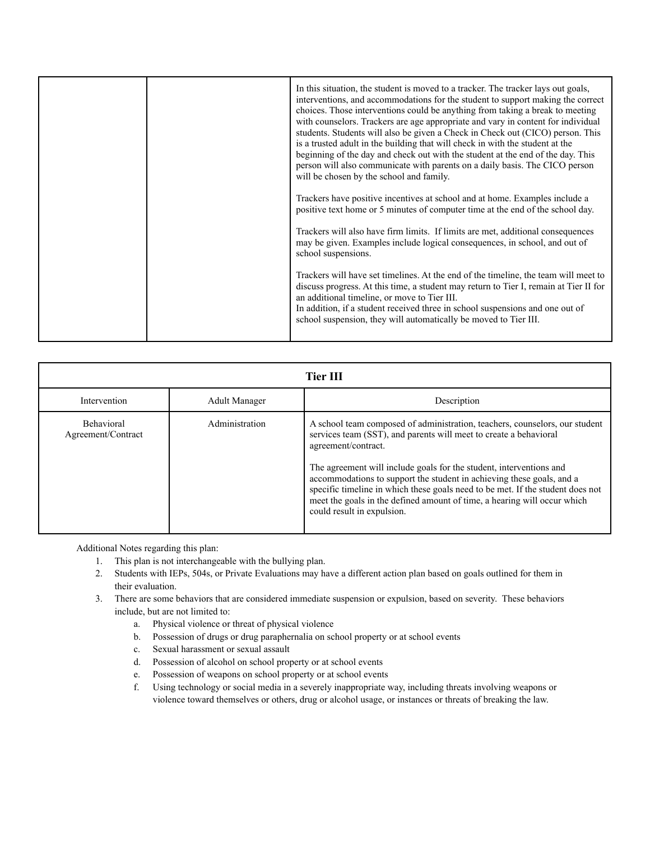|  | In this situation, the student is moved to a tracker. The tracker lays out goals,<br>interventions, and accommodations for the student to support making the correct<br>choices. Those interventions could be anything from taking a break to meeting<br>with counselors. Trackers are age appropriate and vary in content for individual<br>students. Students will also be given a Check in Check out (CICO) person. This<br>is a trusted adult in the building that will check in with the student at the<br>beginning of the day and check out with the student at the end of the day. This<br>person will also communicate with parents on a daily basis. The CICO person<br>will be chosen by the school and family.<br>Trackers have positive incentives at school and at home. Examples include a<br>positive text home or 5 minutes of computer time at the end of the school day.<br>Trackers will also have firm limits. If limits are met, additional consequences<br>may be given. Examples include logical consequences, in school, and out of<br>school suspensions.<br>Trackers will have set timelines. At the end of the timeline, the team will meet to<br>discuss progress. At this time, a student may return to Tier I, remain at Tier II for |
|--|---------------------------------------------------------------------------------------------------------------------------------------------------------------------------------------------------------------------------------------------------------------------------------------------------------------------------------------------------------------------------------------------------------------------------------------------------------------------------------------------------------------------------------------------------------------------------------------------------------------------------------------------------------------------------------------------------------------------------------------------------------------------------------------------------------------------------------------------------------------------------------------------------------------------------------------------------------------------------------------------------------------------------------------------------------------------------------------------------------------------------------------------------------------------------------------------------------------------------------------------------------------------|
|  | an additional timeline, or move to Tier III.<br>In addition, if a student received three in school suspensions and one out of<br>school suspension, they will automatically be moved to Tier III.                                                                                                                                                                                                                                                                                                                                                                                                                                                                                                                                                                                                                                                                                                                                                                                                                                                                                                                                                                                                                                                                   |

| <b>Tier III</b>                                                                                                                                                                                                                                                                                                                                                                                                                                                                                                                                                                  |  |
|----------------------------------------------------------------------------------------------------------------------------------------------------------------------------------------------------------------------------------------------------------------------------------------------------------------------------------------------------------------------------------------------------------------------------------------------------------------------------------------------------------------------------------------------------------------------------------|--|
|                                                                                                                                                                                                                                                                                                                                                                                                                                                                                                                                                                                  |  |
| Intervention<br><b>Adult Manager</b><br>Description                                                                                                                                                                                                                                                                                                                                                                                                                                                                                                                              |  |
| <b>Behavioral</b><br>Administration<br>A school team composed of administration, teachers, counselors, our student<br>services team (SST), and parents will meet to create a behavioral<br>Agreement/Contract<br>agreement/contract.<br>The agreement will include goals for the student, interventions and<br>accommodations to support the student in achieving these goals, and a<br>specific timeline in which these goals need to be met. If the student does not<br>meet the goals in the defined amount of time, a hearing will occur which<br>could result in expulsion. |  |

Additional Notes regarding this plan:

- 1. This plan is not interchangeable with the bullying plan.
- 2. Students with IEPs, 504s, or Private Evaluations may have a different action plan based on goals outlined for them in their evaluation.
- 3. There are some behaviors that are considered immediate suspension or expulsion, based on severity. These behaviors include, but are not limited to:
	- a. Physical violence or threat of physical violence
	- b. Possession of drugs or drug paraphernalia on school property or at school events
	- c. Sexual harassment or sexual assault
	- d. Possession of alcohol on school property or at school events
	- e. Possession of weapons on school property or at school events
	- f. Using technology or social media in a severely inappropriate way, including threats involving weapons or violence toward themselves or others, drug or alcohol usage, or instances or threats of breaking the law.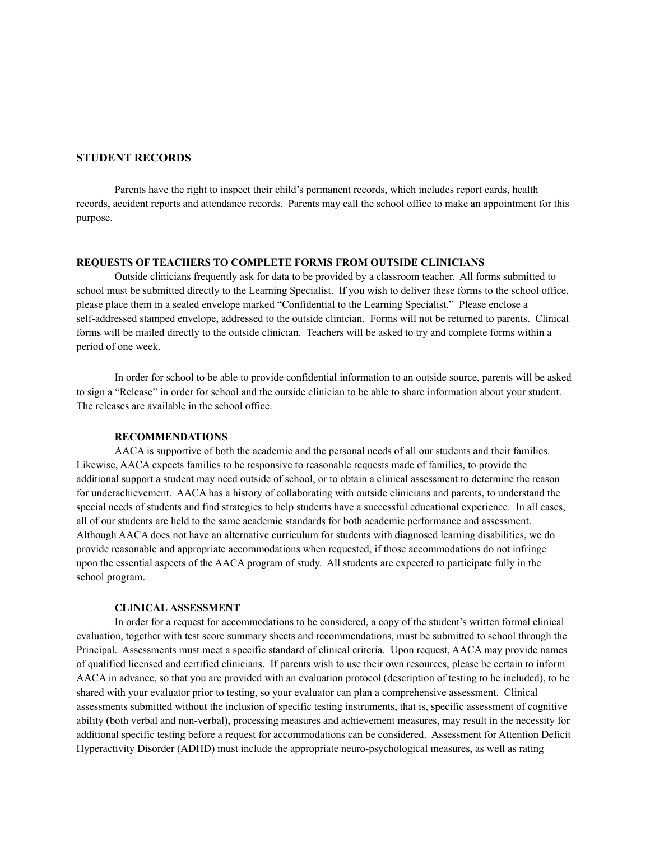## **STUDENT RECORDS**

Parents have the right to inspect their child's permanent records, which includes report cards, health records, accident reports and attendance records. Parents may call the school office to make an appointment for this purpose.

## **REQUESTS OF TEACHERS TO COMPLETE FORMS FROM OUTSIDE CLINICIANS**

Outside clinicians frequently ask for data to be provided by a classroom teacher. All forms submitted to school must be submitted directly to the Learning Specialist. If you wish to deliver these forms to the school office, please place them in a sealed envelope marked "Confidential to the Learning Specialist." Please enclose a self-addressed stamped envelope, addressed to the outside clinician. Forms will not be returned to parents. Clinical forms will be mailed directly to the outside clinician. Teachers will be asked to try and complete forms within a period of one week.

In order for school to be able to provide confidential information to an outside source, parents will be asked to sign a "Release" in order for school and the outside clinician to be able to share information about your student. The releases are available in the school office.

#### **RECOMMENDATIONS**

AACA is supportive of both the academic and the personal needs of all our students and their families. Likewise, AACA expects families to be responsive to reasonable requests made of families, to provide the additional support a student may need outside of school, or to obtain a clinical assessment to determine the reason for underachievement. AACA has a history of collaborating with outside clinicians and parents, to understand the special needs of students and find strategies to help students have a successful educational experience. In all cases, all of our students are held to the same academic standards for both academic performance and assessment. Although AACA does not have an alternative curriculum for students with diagnosed learning disabilities, we do provide reasonable and appropriate accommodations when requested, if those accommodations do not infringe upon the essential aspects of the AACA program of study. All students are expected to participate fully in the school program.

#### **CLINICAL ASSESSMENT**

In order for a request for accommodations to be considered, a copy of the student's written formal clinical evaluation, together with test score summary sheets and recommendations, must be submitted to school through the Principal. Assessments must meet a specific standard of clinical criteria. Upon request, AACA may provide names of qualified licensed and certified clinicians. If parents wish to use their own resources, please be certain to inform AACA in advance, so that you are provided with an evaluation protocol (description of testing to be included), to be shared with your evaluator prior to testing, so your evaluator can plan a comprehensive assessment. Clinical assessments submitted without the inclusion of specific testing instruments, that is, specific assessment of cognitive ability (both verbal and non-verbal), processing measures and achievement measures, may result in the necessity for additional specific testing before a request for accommodations can be considered. Assessment for Attention Deficit Hyperactivity Disorder (ADHD) must include the appropriate neuro-psychological measures, as well as rating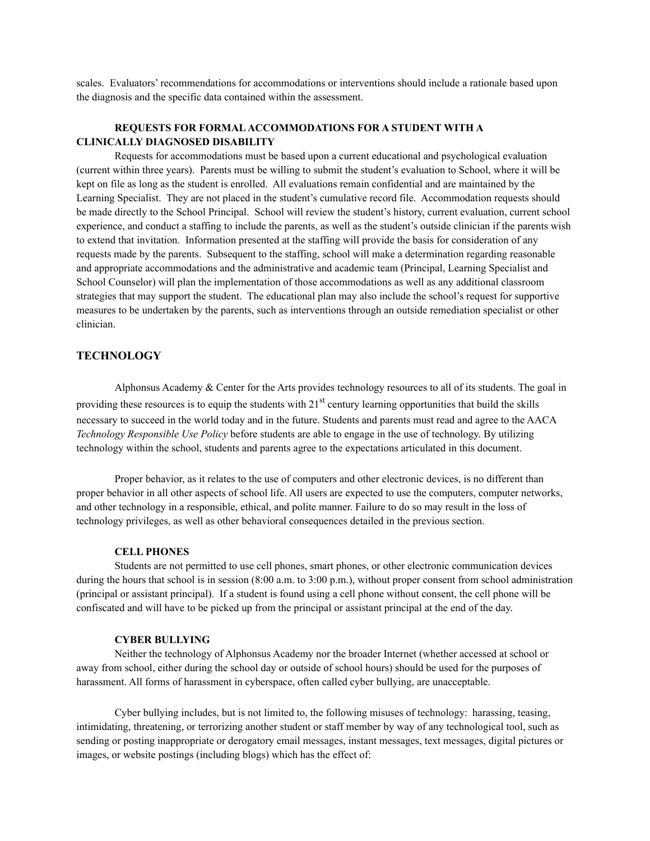scales. Evaluators' recommendations for accommodations or interventions should include a rationale based upon the diagnosis and the specific data contained within the assessment.

## **REQUESTS FOR FORMALACCOMMODATIONS FOR A STUDENT WITH A CLINICALLY DIAGNOSED DISABILITY**

Requests for accommodations must be based upon a current educational and psychological evaluation (current within three years). Parents must be willing to submit the student's evaluation to School, where it will be kept on file as long as the student is enrolled. All evaluations remain confidential and are maintained by the Learning Specialist. They are not placed in the student's cumulative record file. Accommodation requests should be made directly to the School Principal. School will review the student's history, current evaluation, current school experience, and conduct a staffing to include the parents, as well as the student's outside clinician if the parents wish to extend that invitation. Information presented at the staffing will provide the basis for consideration of any requests made by the parents. Subsequent to the staffing, school will make a determination regarding reasonable and appropriate accommodations and the administrative and academic team (Principal, Learning Specialist and School Counselor) will plan the implementation of those accommodations as well as any additional classroom strategies that may support the student. The educational plan may also include the school's request for supportive measures to be undertaken by the parents, such as interventions through an outside remediation specialist or other clinician.

## **TECHNOLOGY**

Alphonsus Academy & Center for the Arts provides technology resources to all of its students. The goal in providing these resources is to equip the students with  $21<sup>st</sup>$  century learning opportunities that build the skills necessary to succeed in the world today and in the future. Students and parents must read and agree to the AACA *Technology Responsible Use Policy* before students are able to engage in the use of technology. By utilizing technology within the school, students and parents agree to the expectations articulated in this document.

Proper behavior, as it relates to the use of computers and other electronic devices, is no different than proper behavior in all other aspects of school life. All users are expected to use the computers, computer networks, and other technology in a responsible, ethical, and polite manner. Failure to do so may result in the loss of technology privileges, as well as other behavioral consequences detailed in the previous section.

#### **CELL PHONES**

Students are not permitted to use cell phones, smart phones, or other electronic communication devices during the hours that school is in session (8:00 a.m. to 3:00 p.m.), without proper consent from school administration (principal or assistant principal). If a student is found using a cell phone without consent, the cell phone will be confiscated and will have to be picked up from the principal or assistant principal at the end of the day.

#### **CYBER BULLYING**

Neither the technology of Alphonsus Academy nor the broader Internet (whether accessed at school or away from school, either during the school day or outside of school hours) should be used for the purposes of harassment. All forms of harassment in cyberspace, often called cyber bullying, are unacceptable.

Cyber bullying includes, but is not limited to, the following misuses of technology: harassing, teasing, intimidating, threatening, or terrorizing another student or staff member by way of any technological tool, such as sending or posting inappropriate or derogatory email messages, instant messages, text messages, digital pictures or images, or website postings (including blogs) which has the effect of: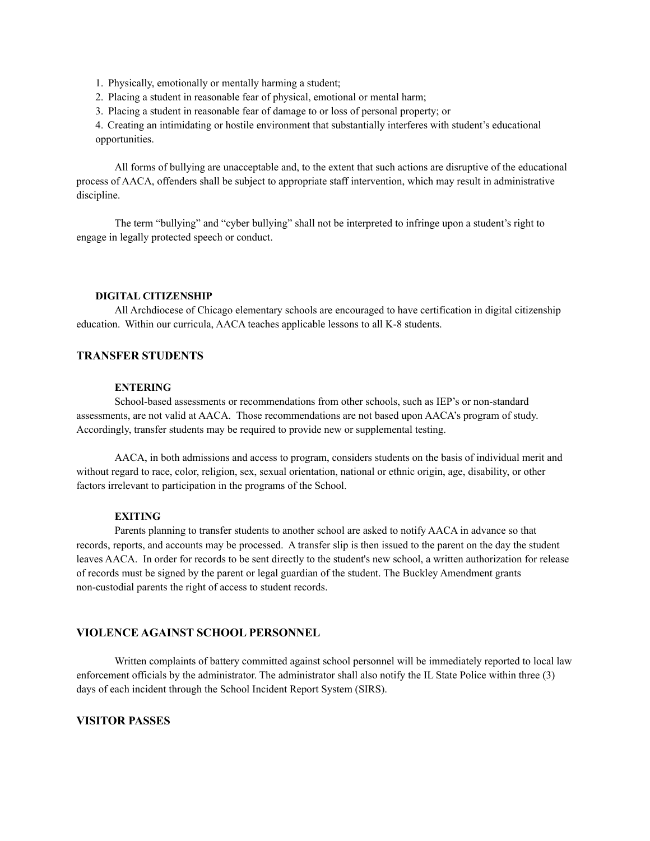1. Physically, emotionally or mentally harming a student;

- 2. Placing a student in reasonable fear of physical, emotional or mental harm;
- 3. Placing a student in reasonable fear of damage to or loss of personal property; or

4. Creating an intimidating or hostile environment that substantially interferes with student's educational opportunities.

All forms of bullying are unacceptable and, to the extent that such actions are disruptive of the educational process of AACA, offenders shall be subject to appropriate staff intervention, which may result in administrative discipline.

The term "bullying" and "cyber bullying" shall not be interpreted to infringe upon a student's right to engage in legally protected speech or conduct.

#### **DIGITAL CITIZENSHIP**

All Archdiocese of Chicago elementary schools are encouraged to have certification in digital citizenship education. Within our curricula, AACA teaches applicable lessons to all K-8 students.

## **TRANSFER STUDENTS**

#### **ENTERING**

School-based assessments or recommendations from other schools, such as IEP's or non-standard assessments, are not valid at AACA. Those recommendations are not based upon AACA's program of study. Accordingly, transfer students may be required to provide new or supplemental testing.

AACA, in both admissions and access to program, considers students on the basis of individual merit and without regard to race, color, religion, sex, sexual orientation, national or ethnic origin, age, disability, or other factors irrelevant to participation in the programs of the School.

#### **EXITING**

Parents planning to transfer students to another school are asked to notify AACA in advance so that records, reports, and accounts may be processed. A transfer slip is then issued to the parent on the day the student leaves AACA. In order for records to be sent directly to the student's new school, a written authorization for release of records must be signed by the parent or legal guardian of the student. The Buckley Amendment grants non-custodial parents the right of access to student records.

## **VIOLENCE AGAINST SCHOOL PERSONNEL**

Written complaints of battery committed against school personnel will be immediately reported to local law enforcement officials by the administrator. The administrator shall also notify the IL State Police within three (3) days of each incident through the School Incident Report System (SIRS).

#### **VISITOR PASSES**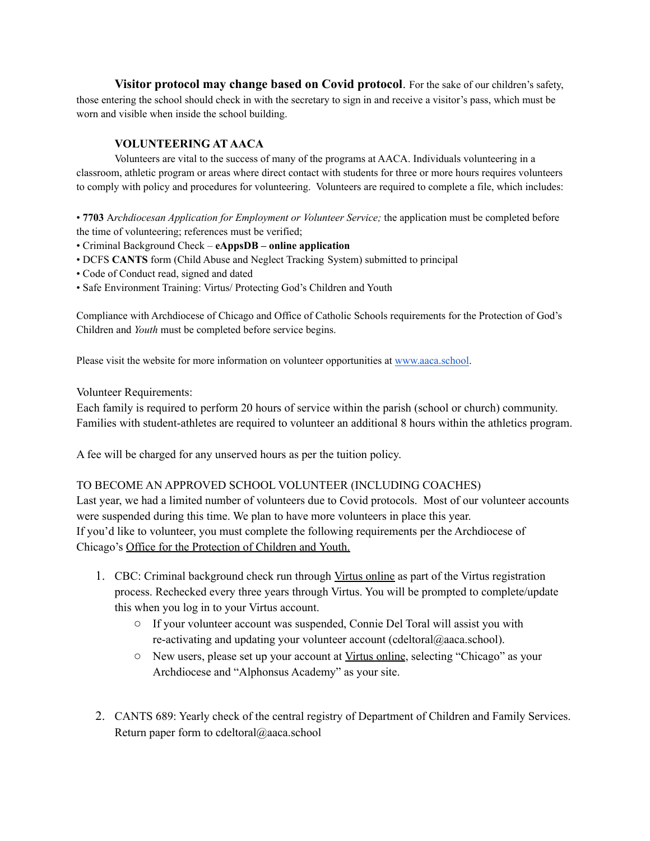**Visitor protocol may change based on Covid protocol**. For the sake of our children's safety, those entering the school should check in with the secretary to sign in and receive a visitor's pass, which must be worn and visible when inside the school building.

# **VOLUNTEERING AT AACA**

Volunteers are vital to the success of many of the programs at AACA. Individuals volunteering in a classroom, athletic program or areas where direct contact with students for three or more hours requires volunteers to comply with policy and procedures for volunteering. Volunteers are required to complete a file, which includes:

• **7703** A*rchdiocesan Application for Employment or Volunteer Service;* the application must be completed before the time of volunteering; references must be verified;

- Criminal Background Check **eAppsDB – online application**
- DCFS **CANTS** form (Child Abuse and Neglect Tracking System) submitted to principal
- Code of Conduct read, signed and dated
- Safe Environment Training: Virtus/ Protecting God's Children and Youth

Compliance with Archdiocese of Chicago and Office of Catholic Schools requirements for the Protection of God's Children and *Youth* must be completed before service begins.

Please visit the website for more information on volunteer opportunities at [www.aaca.school.](http://www.alphonsusacademy.org/)

## Volunteer Requirements:

Each family is required to perform 20 hours of service within the parish (school or church) community. Families with student-athletes are required to volunteer an additional 8 hours within the athletics program.

A fee will be charged for any unserved hours as per the tuition policy.

## TO BECOME AN APPROVED SCHOOL VOLUNTEER (INCLUDING COACHES)

Last year, we had a limited number of volunteers due to Covid protocols. Most of our volunteer accounts were suspended during this time. We plan to have more volunteers in place this year. If you'd like to volunteer, you must complete the following requirements per the Archdiocese of Chicago's Office for the [Protection](https://protect.archchicago.org/documents/351902/352075/Compliance+Guidelines+Chart/44887b71-aa52-4bb7-b1b0-9b75d83a1a28) of Children and Youth.

- 1. CBC: Criminal background check run through Virtus [online](https://www.virtusonline.org/virtus/) as part of the Virtus registration process. Rechecked every three years through Virtus. You will be prompted to complete/update this when you log in to your Virtus account.
	- If your volunteer account was suspended, Connie Del Toral will assist you with re-activating and updating your volunteer account (cdeltoral@aaca.school).
	- New users, please set up your account at Virtus [online](https://www.virtusonline.org/virtus/), selecting "Chicago" as your Archdiocese and "Alphonsus Academy" as your site.
- 2. CANTS 689: Yearly check of the central registry of Department of Children and Family Services. Return paper form to cdeltoral@aaca.school